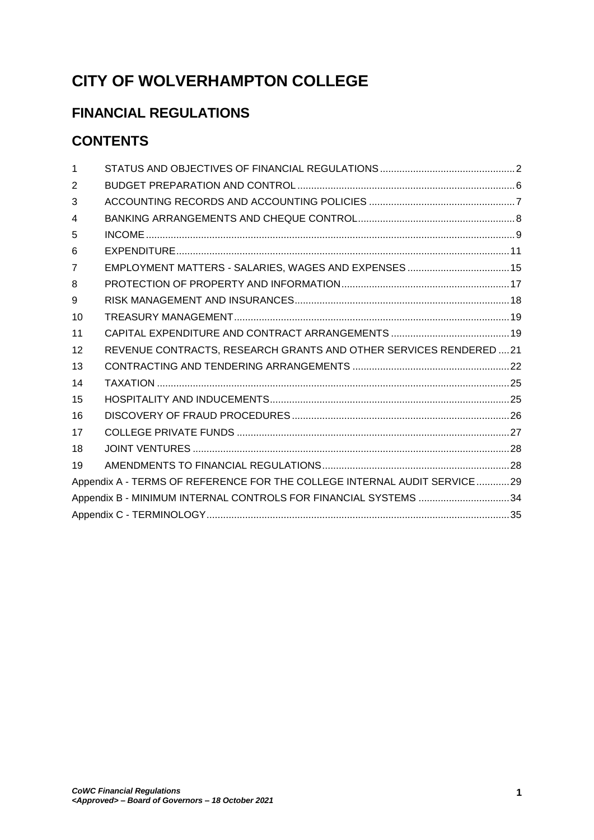# **CITY OF WOLVERHAMPTON COLLEGE**

# **FINANCIAL REGULATIONS**

# **CONTENTS**

| 1                                                                        |                                                                    |  |  |
|--------------------------------------------------------------------------|--------------------------------------------------------------------|--|--|
| 2                                                                        |                                                                    |  |  |
| 3                                                                        |                                                                    |  |  |
| 4                                                                        |                                                                    |  |  |
| 5                                                                        |                                                                    |  |  |
| 6                                                                        |                                                                    |  |  |
| $\overline{7}$                                                           |                                                                    |  |  |
| 8                                                                        |                                                                    |  |  |
| 9                                                                        |                                                                    |  |  |
| 10                                                                       |                                                                    |  |  |
| 11                                                                       |                                                                    |  |  |
| 12                                                                       | REVENUE CONTRACTS, RESEARCH GRANTS AND OTHER SERVICES RENDERED  21 |  |  |
| 13                                                                       |                                                                    |  |  |
| 14                                                                       |                                                                    |  |  |
| 15                                                                       |                                                                    |  |  |
| 16                                                                       |                                                                    |  |  |
| 17                                                                       |                                                                    |  |  |
| 18                                                                       |                                                                    |  |  |
| 19                                                                       |                                                                    |  |  |
| Appendix A - TERMS OF REFERENCE FOR THE COLLEGE INTERNAL AUDIT SERVICE29 |                                                                    |  |  |
| Appendix B - MINIMUM INTERNAL CONTROLS FOR FINANCIAL SYSTEMS 34          |                                                                    |  |  |
|                                                                          |                                                                    |  |  |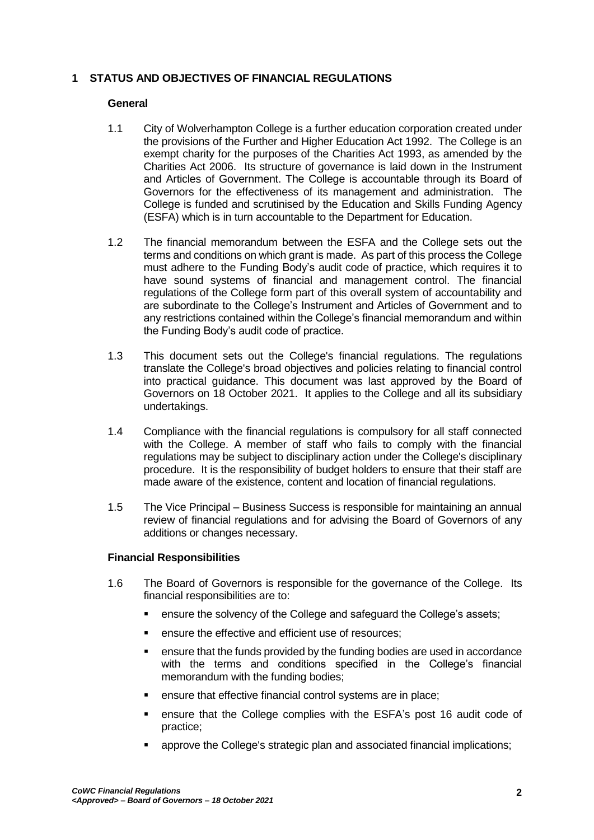# <span id="page-1-0"></span>**1 STATUS AND OBJECTIVES OF FINANCIAL REGULATIONS**

## **General**

- 1.1 City of Wolverhampton College is a further education corporation created under the provisions of the Further and Higher Education Act 1992. The College is an exempt charity for the purposes of the Charities Act 1993, as amended by the Charities Act 2006. Its structure of governance is laid down in the Instrument and Articles of Government. The College is accountable through its Board of Governors for the effectiveness of its management and administration. The College is funded and scrutinised by the Education and Skills Funding Agency (ESFA) which is in turn accountable to the Department for Education.
- 1.2 The financial memorandum between the ESFA and the College sets out the terms and conditions on which grant is made. As part of this process the College must adhere to the Funding Body's audit code of practice, which requires it to have sound systems of financial and management control. The financial regulations of the College form part of this overall system of accountability and are subordinate to the College's Instrument and Articles of Government and to any restrictions contained within the College's financial memorandum and within the Funding Body's audit code of practice.
- 1.3 This document sets out the College's financial regulations. The regulations translate the College's broad objectives and policies relating to financial control into practical guidance. This document was last approved by the Board of Governors on 18 October 2021. It applies to the College and all its subsidiary undertakings.
- 1.4 Compliance with the financial regulations is compulsory for all staff connected with the College. A member of staff who fails to comply with the financial regulations may be subject to disciplinary action under the College's disciplinary procedure. It is the responsibility of budget holders to ensure that their staff are made aware of the existence, content and location of financial regulations.
- 1.5 The Vice Principal Business Success is responsible for maintaining an annual review of financial regulations and for advising the Board of Governors of any additions or changes necessary.

## **Financial Responsibilities**

- 1.6 The Board of Governors is responsible for the governance of the College. Its financial responsibilities are to:
	- ensure the solvency of the College and safeguard the College's assets;
	- ensure the effective and efficient use of resources;
	- ensure that the funds provided by the funding bodies are used in accordance with the terms and conditions specified in the College's financial memorandum with the funding bodies;
	- **EXECT:** ensure that effective financial control systems are in place;
	- ensure that the College complies with the ESFA's post 16 audit code of practice;
	- approve the College's strategic plan and associated financial implications;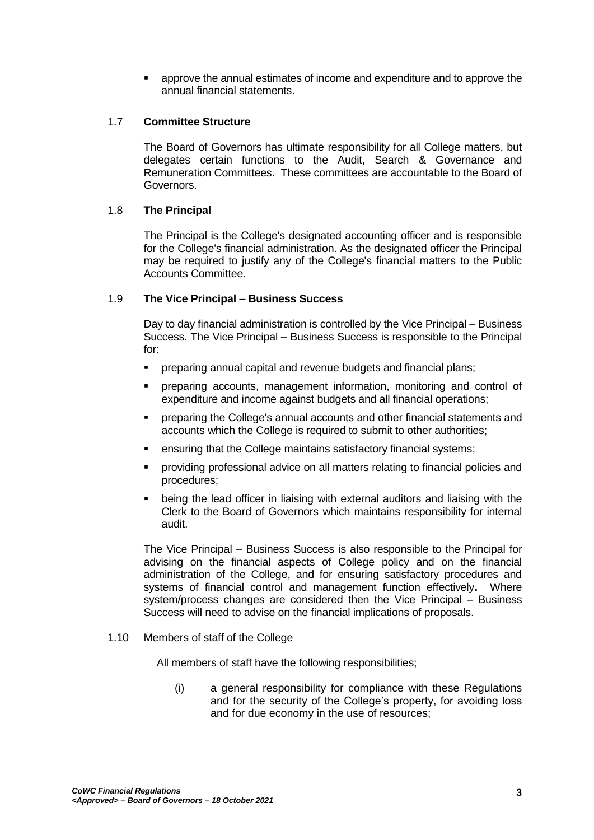approve the annual estimates of income and expenditure and to approve the annual financial statements.

## 1.7 **Committee Structure**

The Board of Governors has ultimate responsibility for all College matters, but delegates certain functions to the Audit, Search & Governance and Remuneration Committees. These committees are accountable to the Board of Governors.

### 1.8 **The Principal**

The Principal is the College's designated accounting officer and is responsible for the College's financial administration. As the designated officer the Principal may be required to justify any of the College's financial matters to the Public Accounts Committee.

### 1.9 **The Vice Principal – Business Success**

Day to day financial administration is controlled by the Vice Principal – Business Success. The Vice Principal – Business Success is responsible to the Principal for:

- **Parthering annual capital and revenue budgets and financial plans;**
- preparing accounts, management information, monitoring and control of expenditure and income against budgets and all financial operations;
- **•** preparing the College's annual accounts and other financial statements and accounts which the College is required to submit to other authorities;
- ensuring that the College maintains satisfactory financial systems;
- providing professional advice on all matters relating to financial policies and procedures;
- being the lead officer in liaising with external auditors and liaising with the Clerk to the Board of Governors which maintains responsibility for internal audit.

The Vice Principal – Business Success is also responsible to the Principal for advising on the financial aspects of College policy and on the financial administration of the College, and for ensuring satisfactory procedures and systems of financial control and management function effectively**.** Where system/process changes are considered then the Vice Principal – Business Success will need to advise on the financial implications of proposals.

#### 1.10 Members of staff of the College

All members of staff have the following responsibilities;

(i) a general responsibility for compliance with these Regulations and for the security of the College's property, for avoiding loss and for due economy in the use of resources;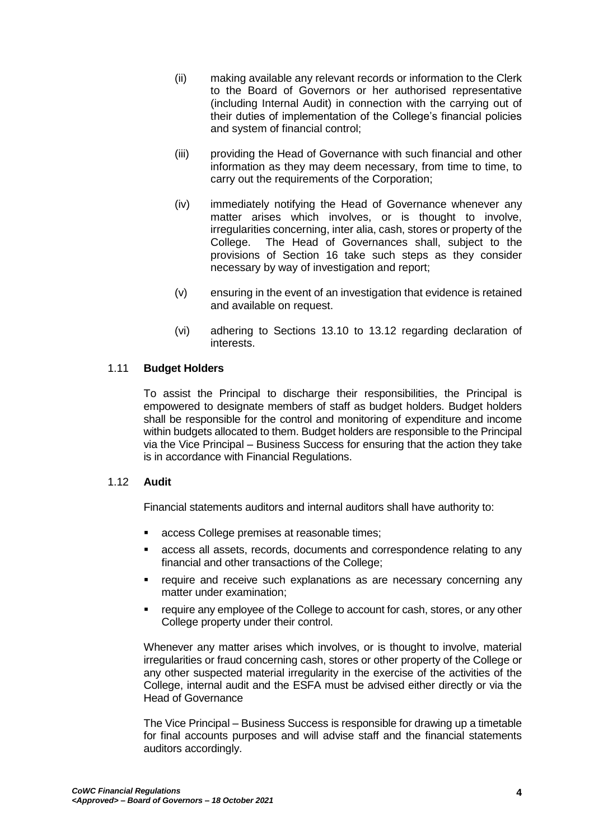- (ii) making available any relevant records or information to the Clerk to the Board of Governors or her authorised representative (including Internal Audit) in connection with the carrying out of their duties of implementation of the College's financial policies and system of financial control;
- (iii) providing the Head of Governance with such financial and other information as they may deem necessary, from time to time, to carry out the requirements of the Corporation;
- (iv) immediately notifying the Head of Governance whenever any matter arises which involves, or is thought to involve, irregularities concerning, inter alia, cash, stores or property of the College. The Head of Governances shall, subject to the provisions of Section 16 take such steps as they consider necessary by way of investigation and report;
- (v) ensuring in the event of an investigation that evidence is retained and available on request.
- (vi) adhering to Sections 13.10 to 13.12 regarding declaration of interests.

# 1.11 **Budget Holders**

To assist the Principal to discharge their responsibilities, the Principal is empowered to designate members of staff as budget holders. Budget holders shall be responsible for the control and monitoring of expenditure and income within budgets allocated to them. Budget holders are responsible to the Principal via the Vice Principal – Business Success for ensuring that the action they take is in accordance with Financial Regulations.

## 1.12 **Audit**

Financial statements auditors and internal auditors shall have authority to:

- access College premises at reasonable times;
- access all assets, records, documents and correspondence relating to any financial and other transactions of the College;
- **•** require and receive such explanations as are necessary concerning any matter under examination;
- require any employee of the College to account for cash, stores, or any other College property under their control.

Whenever any matter arises which involves, or is thought to involve, material irregularities or fraud concerning cash, stores or other property of the College or any other suspected material irregularity in the exercise of the activities of the College, internal audit and the ESFA must be advised either directly or via the Head of Governance

The Vice Principal – Business Success is responsible for drawing up a timetable for final accounts purposes and will advise staff and the financial statements auditors accordingly.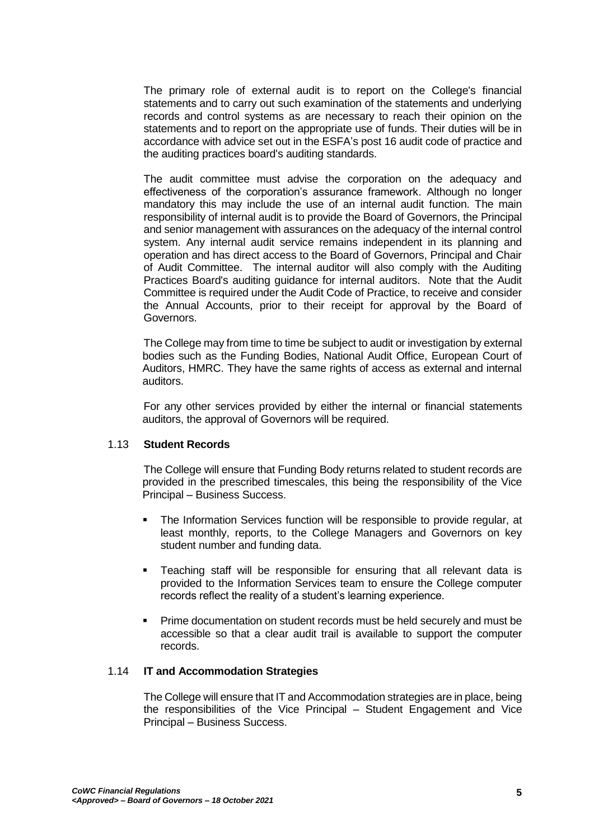The primary role of external audit is to report on the College's financial statements and to carry out such examination of the statements and underlying records and control systems as are necessary to reach their opinion on the statements and to report on the appropriate use of funds. Their duties will be in accordance with advice set out in the ESFA's post 16 audit code of practice and the auditing practices board's auditing standards.

The audit committee must advise the corporation on the adequacy and effectiveness of the corporation's assurance framework. Although no longer mandatory this may include the use of an internal audit function. The main responsibility of internal audit is to provide the Board of Governors, the Principal and senior management with assurances on the adequacy of the internal control system. Any internal audit service remains independent in its planning and operation and has direct access to the Board of Governors, Principal and Chair of Audit Committee. The internal auditor will also comply with the Auditing Practices Board's auditing guidance for internal auditors. Note that the Audit Committee is required under the Audit Code of Practice, to receive and consider the Annual Accounts, prior to their receipt for approval by the Board of Governors.

The College may from time to time be subject to audit or investigation by external bodies such as the Funding Bodies, National Audit Office, European Court of Auditors, HMRC. They have the same rights of access as external and internal auditors.

For any other services provided by either the internal or financial statements auditors, the approval of Governors will be required.

### 1.13 **Student Records**

The College will ensure that Funding Body returns related to student records are provided in the prescribed timescales, this being the responsibility of the Vice Principal – Business Success.

- The Information Services function will be responsible to provide regular, at least monthly, reports, to the College Managers and Governors on key student number and funding data.
- Teaching staff will be responsible for ensuring that all relevant data is provided to the Information Services team to ensure the College computer records reflect the reality of a student's learning experience.
- Prime documentation on student records must be held securely and must be accessible so that a clear audit trail is available to support the computer records.

## 1.14 **IT and Accommodation Strategies**

The College will ensure that IT and Accommodation strategies are in place, being the responsibilities of the Vice Principal – Student Engagement and Vice Principal – Business Success.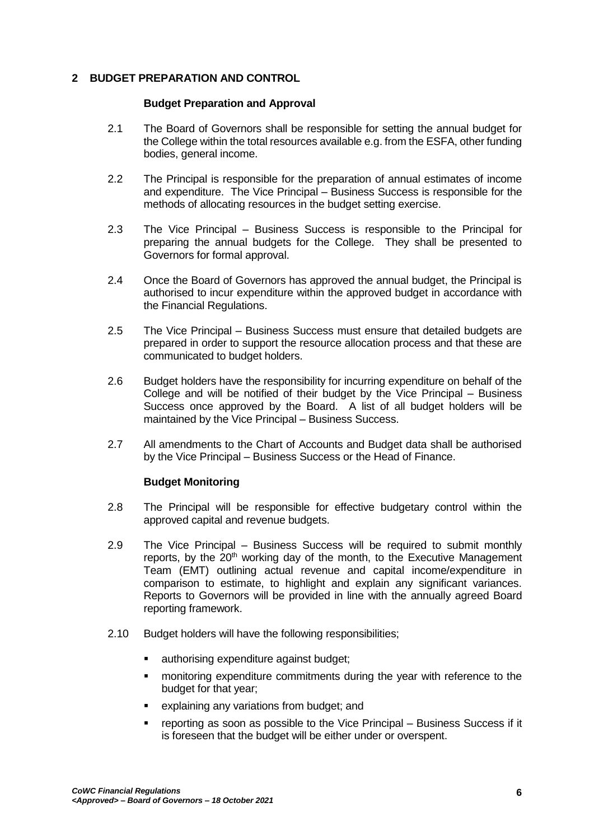## <span id="page-5-0"></span>**2 BUDGET PREPARATION AND CONTROL**

#### **Budget Preparation and Approval**

- 2.1 The Board of Governors shall be responsible for setting the annual budget for the College within the total resources available e.g. from the ESFA, other funding bodies, general income.
- 2.2 The Principal is responsible for the preparation of annual estimates of income and expenditure. The Vice Principal – Business Success is responsible for the methods of allocating resources in the budget setting exercise.
- 2.3 The Vice Principal Business Success is responsible to the Principal for preparing the annual budgets for the College. They shall be presented to Governors for formal approval.
- 2.4 Once the Board of Governors has approved the annual budget, the Principal is authorised to incur expenditure within the approved budget in accordance with the Financial Regulations.
- 2.5 The Vice Principal Business Success must ensure that detailed budgets are prepared in order to support the resource allocation process and that these are communicated to budget holders.
- 2.6 Budget holders have the responsibility for incurring expenditure on behalf of the College and will be notified of their budget by the Vice Principal – Business Success once approved by the Board. A list of all budget holders will be maintained by the Vice Principal – Business Success.
- 2.7 All amendments to the Chart of Accounts and Budget data shall be authorised by the Vice Principal – Business Success or the Head of Finance.

## **Budget Monitoring**

- 2.8 The Principal will be responsible for effective budgetary control within the approved capital and revenue budgets.
- 2.9 The Vice Principal Business Success will be required to submit monthly reports, by the  $20<sup>th</sup>$  working day of the month, to the Executive Management Team (EMT) outlining actual revenue and capital income/expenditure in comparison to estimate, to highlight and explain any significant variances. Reports to Governors will be provided in line with the annually agreed Board reporting framework.
- 2.10 Budget holders will have the following responsibilities;
	- **EXEC** authorising expenditure against budget;
	- monitoring expenditure commitments during the year with reference to the budget for that year;
	- explaining any variations from budget; and
	- **•** reporting as soon as possible to the Vice Principal Business Success if it is foreseen that the budget will be either under or overspent.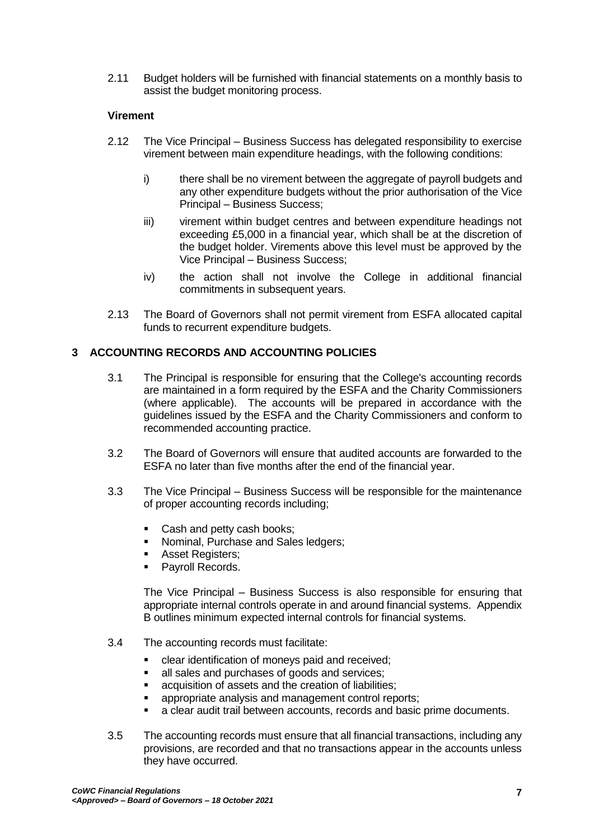2.11 Budget holders will be furnished with financial statements on a monthly basis to assist the budget monitoring process.

## **Virement**

- 2.12 The Vice Principal Business Success has delegated responsibility to exercise virement between main expenditure headings, with the following conditions:
	- i) there shall be no virement between the aggregate of payroll budgets and any other expenditure budgets without the prior authorisation of the Vice Principal – Business Success;
	- iii) virement within budget centres and between expenditure headings not exceeding £5,000 in a financial year, which shall be at the discretion of the budget holder. Virements above this level must be approved by the Vice Principal – Business Success;
	- iv) the action shall not involve the College in additional financial commitments in subsequent years.
- 2.13 The Board of Governors shall not permit virement from ESFA allocated capital funds to recurrent expenditure budgets.

## <span id="page-6-0"></span>**3 ACCOUNTING RECORDS AND ACCOUNTING POLICIES**

- 3.1 The Principal is responsible for ensuring that the College's accounting records are maintained in a form required by the ESFA and the Charity Commissioners (where applicable). The accounts will be prepared in accordance with the guidelines issued by the ESFA and the Charity Commissioners and conform to recommended accounting practice.
- 3.2 The Board of Governors will ensure that audited accounts are forwarded to the ESFA no later than five months after the end of the financial year.
- 3.3 The Vice Principal Business Success will be responsible for the maintenance of proper accounting records including;
	- Cash and petty cash books;
	- Nominal, Purchase and Sales ledgers;
	- Asset Registers:
	- Payroll Records.

The Vice Principal – Business Success is also responsible for ensuring that appropriate internal controls operate in and around financial systems. Appendix B outlines minimum expected internal controls for financial systems.

- 3.4 The accounting records must facilitate:
	- **EXEC** clear identification of moneys paid and received;
	- all sales and purchases of goods and services;
	- acquisition of assets and the creation of liabilities;
	- appropriate analysis and management control reports;
	- a clear audit trail between accounts, records and basic prime documents.
- 3.5 The accounting records must ensure that all financial transactions, including any provisions, are recorded and that no transactions appear in the accounts unless they have occurred.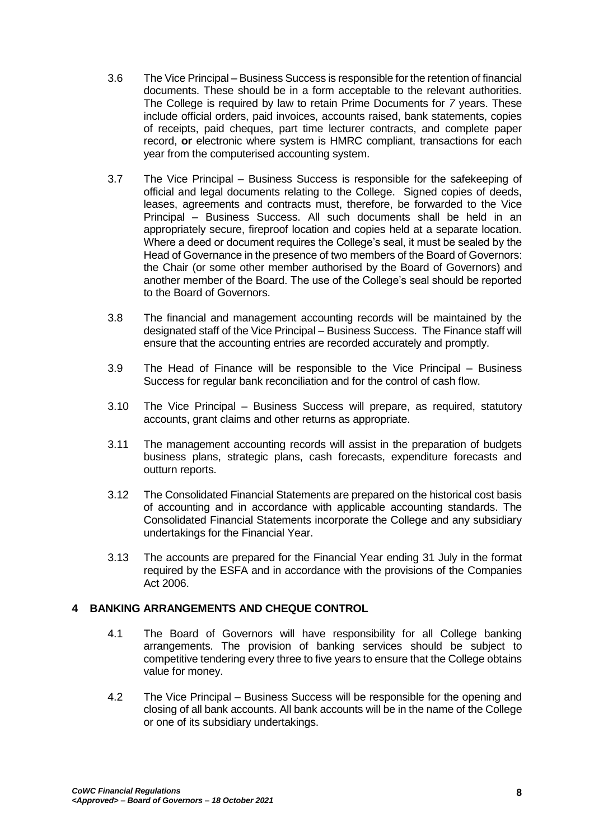- 3.6 The Vice Principal Business Success is responsible for the retention of financial documents. These should be in a form acceptable to the relevant authorities. The College is required by law to retain Prime Documents for *7* years. These include official orders, paid invoices, accounts raised, bank statements, copies of receipts, paid cheques, part time lecturer contracts, and complete paper record, **or** electronic where system is HMRC compliant, transactions for each year from the computerised accounting system.
- 3.7 The Vice Principal Business Success is responsible for the safekeeping of official and legal documents relating to the College. Signed copies of deeds, leases, agreements and contracts must, therefore, be forwarded to the Vice Principal – Business Success. All such documents shall be held in an appropriately secure, fireproof location and copies held at a separate location. Where a deed or document requires the College's seal, it must be sealed by the Head of Governance in the presence of two members of the Board of Governors: the Chair (or some other member authorised by the Board of Governors) and another member of the Board. The use of the College's seal should be reported to the Board of Governors.
- 3.8 The financial and management accounting records will be maintained by the designated staff of the Vice Principal – Business Success. The Finance staff will ensure that the accounting entries are recorded accurately and promptly.
- 3.9 The Head of Finance will be responsible to the Vice Principal Business Success for regular bank reconciliation and for the control of cash flow.
- 3.10 The Vice Principal Business Success will prepare, as required, statutory accounts, grant claims and other returns as appropriate.
- 3.11 The management accounting records will assist in the preparation of budgets business plans, strategic plans, cash forecasts, expenditure forecasts and outturn reports.
- 3.12 The Consolidated Financial Statements are prepared on the historical cost basis of accounting and in accordance with applicable accounting standards. The Consolidated Financial Statements incorporate the College and any subsidiary undertakings for the Financial Year.
- 3.13 The accounts are prepared for the Financial Year ending 31 July in the format required by the ESFA and in accordance with the provisions of the Companies Act 2006.

## <span id="page-7-0"></span>**4 BANKING ARRANGEMENTS AND CHEQUE CONTROL**

- 4.1 The Board of Governors will have responsibility for all College banking arrangements. The provision of banking services should be subject to competitive tendering every three to five years to ensure that the College obtains value for money.
- 4.2 The Vice Principal Business Success will be responsible for the opening and closing of all bank accounts. All bank accounts will be in the name of the College or one of its subsidiary undertakings.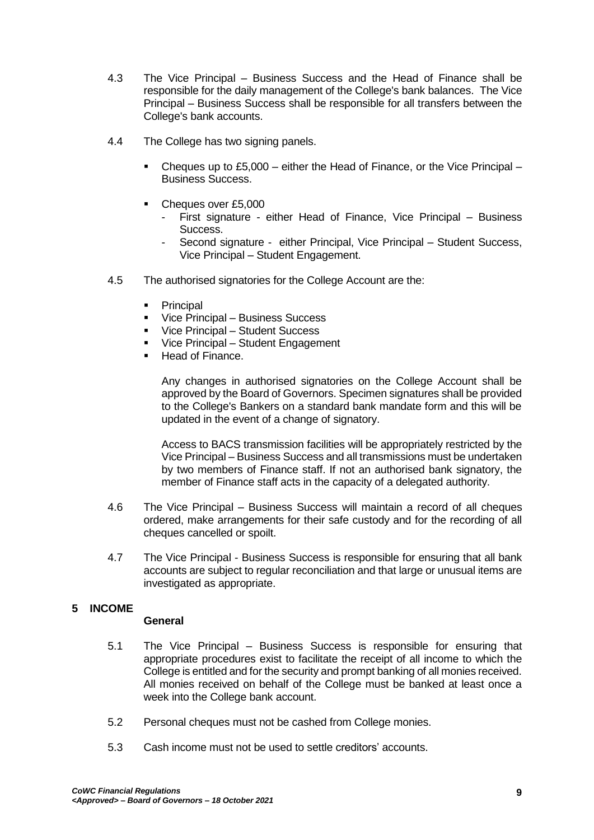- 4.3 The Vice Principal Business Success and the Head of Finance shall be responsible for the daily management of the College's bank balances. The Vice Principal – Business Success shall be responsible for all transfers between the College's bank accounts.
- 4.4 The College has two signing panels.
	- Cheques up to £5,000 either the Head of Finance, or the Vice Principal Business Success.
	- Cheques over £5,000
		- First signature either Head of Finance, Vice Principal Business Success.
		- Second signature either Principal, Vice Principal Student Success, Vice Principal – Student Engagement.
- 4.5 The authorised signatories for the College Account are the:
	- **•** Principal
	- **Vice Principal Business Success**
	- Vice Principal Student Success
	- Vice Principal Student Engagement
	- Head of Finance.

Any changes in authorised signatories on the College Account shall be approved by the Board of Governors. Specimen signatures shall be provided to the College's Bankers on a standard bank mandate form and this will be updated in the event of a change of signatory.

Access to BACS transmission facilities will be appropriately restricted by the Vice Principal – Business Success and all transmissions must be undertaken by two members of Finance staff. If not an authorised bank signatory, the member of Finance staff acts in the capacity of a delegated authority.

- 4.6 The Vice Principal Business Success will maintain a record of all cheques ordered, make arrangements for their safe custody and for the recording of all cheques cancelled or spoilt.
- 4.7 The Vice Principal Business Success is responsible for ensuring that all bank accounts are subject to regular reconciliation and that large or unusual items are investigated as appropriate.

# <span id="page-8-0"></span>**5 INCOME**

## **General**

- 5.1 The Vice Principal Business Success is responsible for ensuring that appropriate procedures exist to facilitate the receipt of all income to which the College is entitled and for the security and prompt banking of all monies received. All monies received on behalf of the College must be banked at least once a week into the College bank account.
- 5.2 Personal cheques must not be cashed from College monies.
- 5.3 Cash income must not be used to settle creditors' accounts.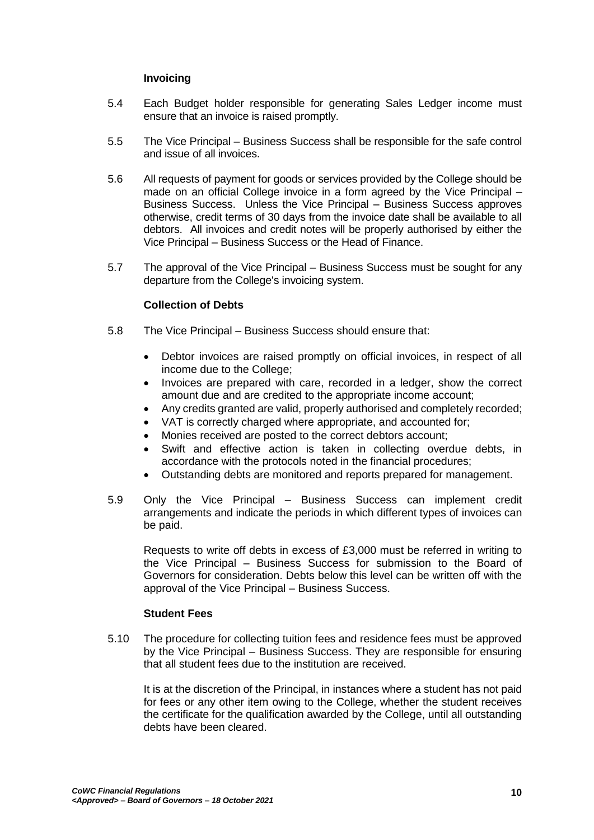## **Invoicing**

- 5.4 Each Budget holder responsible for generating Sales Ledger income must ensure that an invoice is raised promptly.
- 5.5 The Vice Principal Business Success shall be responsible for the safe control and issue of all invoices.
- 5.6 All requests of payment for goods or services provided by the College should be made on an official College invoice in a form agreed by the Vice Principal – Business Success. Unless the Vice Principal – Business Success approves otherwise, credit terms of 30 days from the invoice date shall be available to all debtors. All invoices and credit notes will be properly authorised by either the Vice Principal – Business Success or the Head of Finance.
- 5.7 The approval of the Vice Principal Business Success must be sought for any departure from the College's invoicing system.

## **Collection of Debts**

- 5.8 The Vice Principal Business Success should ensure that:
	- Debtor invoices are raised promptly on official invoices, in respect of all income due to the College;
	- Invoices are prepared with care, recorded in a ledger, show the correct amount due and are credited to the appropriate income account;
	- Any credits granted are valid, properly authorised and completely recorded;
	- VAT is correctly charged where appropriate, and accounted for;
	- Monies received are posted to the correct debtors account;
	- Swift and effective action is taken in collecting overdue debts, in accordance with the protocols noted in the financial procedures;
	- Outstanding debts are monitored and reports prepared for management.
- 5.9 Only the Vice Principal Business Success can implement credit arrangements and indicate the periods in which different types of invoices can be paid.

Requests to write off debts in excess of £3,000 must be referred in writing to the Vice Principal – Business Success for submission to the Board of Governors for consideration. Debts below this level can be written off with the approval of the Vice Principal – Business Success.

#### **Student Fees**

5.10 The procedure for collecting tuition fees and residence fees must be approved by the Vice Principal – Business Success. They are responsible for ensuring that all student fees due to the institution are received.

It is at the discretion of the Principal, in instances where a student has not paid for fees or any other item owing to the College, whether the student receives the certificate for the qualification awarded by the College, until all outstanding debts have been cleared.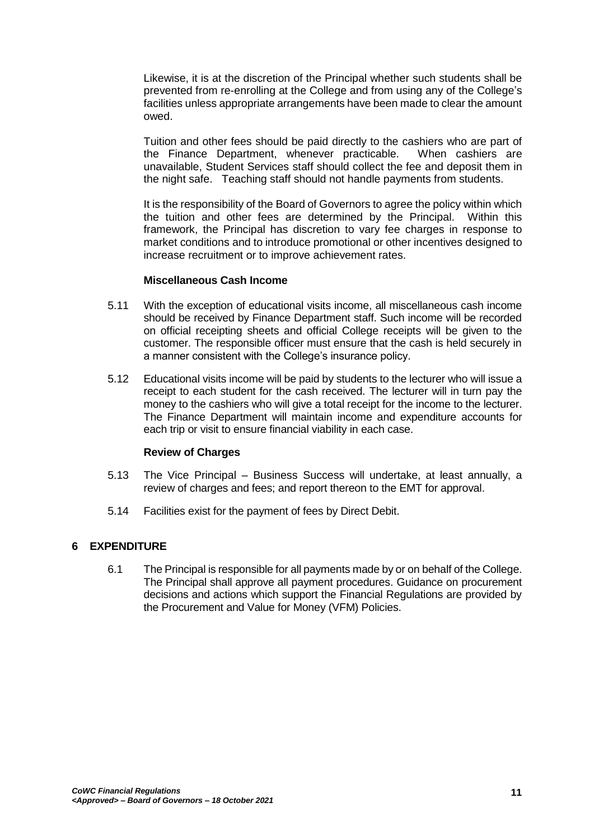Likewise, it is at the discretion of the Principal whether such students shall be prevented from re-enrolling at the College and from using any of the College's facilities unless appropriate arrangements have been made to clear the amount owed.

Tuition and other fees should be paid directly to the cashiers who are part of the Finance Department, whenever practicable. When cashiers are unavailable, Student Services staff should collect the fee and deposit them in the night safe. Teaching staff should not handle payments from students.

It is the responsibility of the Board of Governors to agree the policy within which the tuition and other fees are determined by the Principal. Within this framework, the Principal has discretion to vary fee charges in response to market conditions and to introduce promotional or other incentives designed to increase recruitment or to improve achievement rates.

#### **Miscellaneous Cash Income**

- 5.11 With the exception of educational visits income, all miscellaneous cash income should be received by Finance Department staff. Such income will be recorded on official receipting sheets and official College receipts will be given to the customer. The responsible officer must ensure that the cash is held securely in a manner consistent with the College's insurance policy.
- 5.12 Educational visits income will be paid by students to the lecturer who will issue a receipt to each student for the cash received. The lecturer will in turn pay the money to the cashiers who will give a total receipt for the income to the lecturer. The Finance Department will maintain income and expenditure accounts for each trip or visit to ensure financial viability in each case.

#### **Review of Charges**

- 5.13 The Vice Principal Business Success will undertake, at least annually, a review of charges and fees; and report thereon to the EMT for approval.
- 5.14 Facilities exist for the payment of fees by Direct Debit.

## <span id="page-10-0"></span>**6 EXPENDITURE**

6.1 The Principal is responsible for all payments made by or on behalf of the College. The Principal shall approve all payment procedures. Guidance on procurement decisions and actions which support the Financial Regulations are provided by the Procurement and Value for Money (VFM) Policies.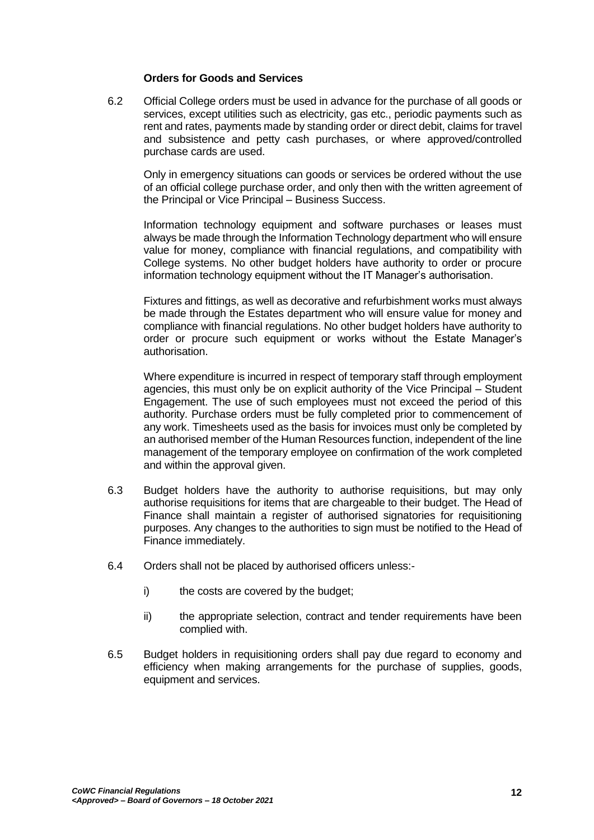#### **Orders for Goods and Services**

6.2 Official College orders must be used in advance for the purchase of all goods or services, except utilities such as electricity, gas etc., periodic payments such as rent and rates, payments made by standing order or direct debit, claims for travel and subsistence and petty cash purchases, or where approved/controlled purchase cards are used.

Only in emergency situations can goods or services be ordered without the use of an official college purchase order, and only then with the written agreement of the Principal or Vice Principal – Business Success.

Information technology equipment and software purchases or leases must always be made through the Information Technology department who will ensure value for money, compliance with financial regulations, and compatibility with College systems. No other budget holders have authority to order or procure information technology equipment without the IT Manager's authorisation.

Fixtures and fittings, as well as decorative and refurbishment works must always be made through the Estates department who will ensure value for money and compliance with financial regulations. No other budget holders have authority to order or procure such equipment or works without the Estate Manager's authorisation.

Where expenditure is incurred in respect of temporary staff through employment agencies, this must only be on explicit authority of the Vice Principal – Student Engagement. The use of such employees must not exceed the period of this authority. Purchase orders must be fully completed prior to commencement of any work. Timesheets used as the basis for invoices must only be completed by an authorised member of the Human Resources function, independent of the line management of the temporary employee on confirmation of the work completed and within the approval given.

- 6.3 Budget holders have the authority to authorise requisitions, but may only authorise requisitions for items that are chargeable to their budget. The Head of Finance shall maintain a register of authorised signatories for requisitioning purposes. Any changes to the authorities to sign must be notified to the Head of Finance immediately.
- 6.4 Orders shall not be placed by authorised officers unless:
	- i) the costs are covered by the budget;
	- ii) the appropriate selection, contract and tender requirements have been complied with.
- 6.5 Budget holders in requisitioning orders shall pay due regard to economy and efficiency when making arrangements for the purchase of supplies, goods, equipment and services.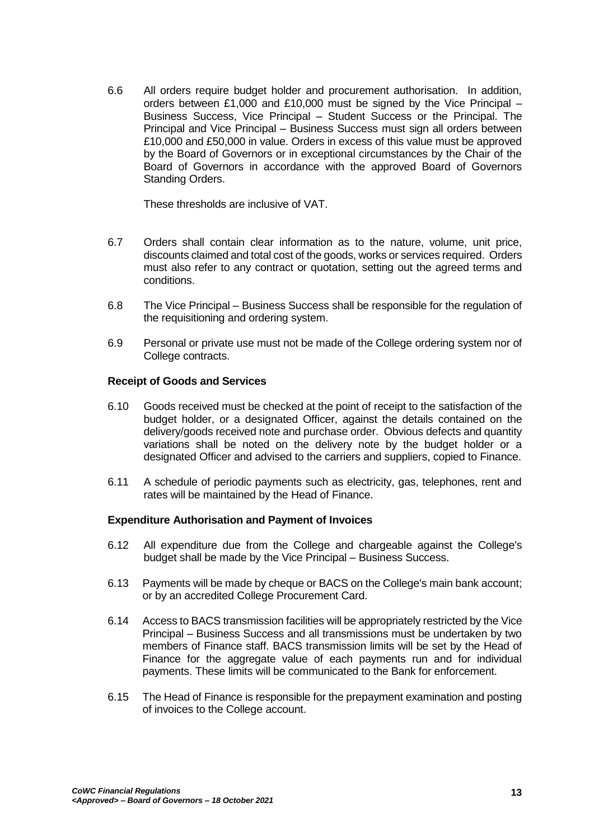6.6 All orders require budget holder and procurement authorisation. In addition, orders between £1,000 and £10,000 must be signed by the Vice Principal – Business Success, Vice Principal – Student Success or the Principal. The Principal and Vice Principal – Business Success must sign all orders between £10,000 and £50,000 in value. Orders in excess of this value must be approved by the Board of Governors or in exceptional circumstances by the Chair of the Board of Governors in accordance with the approved Board of Governors Standing Orders.

These thresholds are inclusive of VAT.

- 6.7 Orders shall contain clear information as to the nature, volume, unit price, discounts claimed and total cost of the goods, works or services required. Orders must also refer to any contract or quotation, setting out the agreed terms and conditions.
- 6.8 The Vice Principal Business Success shall be responsible for the regulation of the requisitioning and ordering system.
- 6.9 Personal or private use must not be made of the College ordering system nor of College contracts.

### **Receipt of Goods and Services**

- 6.10 Goods received must be checked at the point of receipt to the satisfaction of the budget holder, or a designated Officer, against the details contained on the delivery/goods received note and purchase order. Obvious defects and quantity variations shall be noted on the delivery note by the budget holder or a designated Officer and advised to the carriers and suppliers, copied to Finance.
- 6.11 A schedule of periodic payments such as electricity, gas, telephones, rent and rates will be maintained by the Head of Finance.

## **Expenditure Authorisation and Payment of Invoices**

- 6.12 All expenditure due from the College and chargeable against the College's budget shall be made by the Vice Principal – Business Success.
- 6.13 Payments will be made by cheque or BACS on the College's main bank account; or by an accredited College Procurement Card.
- 6.14 Access to BACS transmission facilities will be appropriately restricted by the Vice Principal – Business Success and all transmissions must be undertaken by two members of Finance staff. BACS transmission limits will be set by the Head of Finance for the aggregate value of each payments run and for individual payments. These limits will be communicated to the Bank for enforcement.
- 6.15 The Head of Finance is responsible for the prepayment examination and posting of invoices to the College account.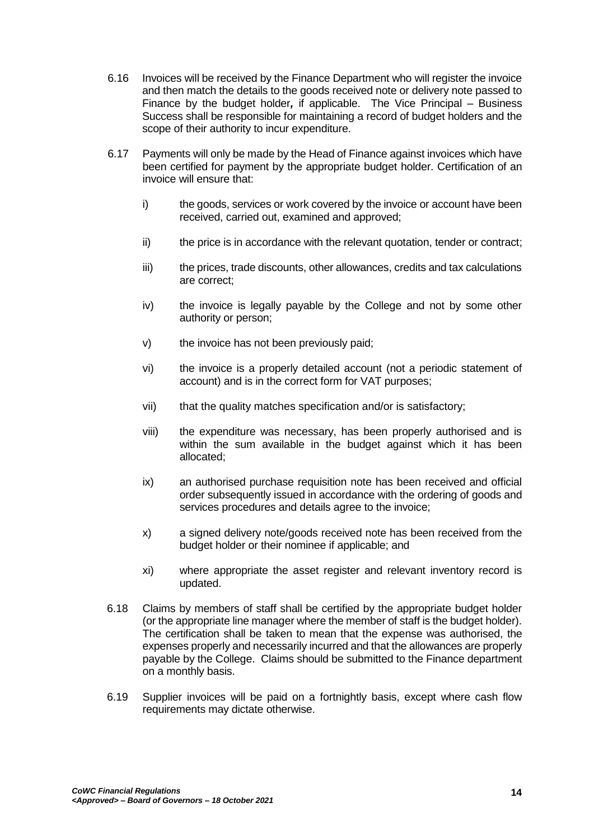- 6.16 Invoices will be received by the Finance Department who will register the invoice and then match the details to the goods received note or delivery note passed to Finance by the budget holder*,* if applicable. The Vice Principal – Business Success shall be responsible for maintaining a record of budget holders and the scope of their authority to incur expenditure.
- 6.17 Payments will only be made by the Head of Finance against invoices which have been certified for payment by the appropriate budget holder. Certification of an invoice will ensure that:
	- i) the goods, services or work covered by the invoice or account have been received, carried out, examined and approved;
	- ii) the price is in accordance with the relevant quotation, tender or contract;
	- iii) the prices, trade discounts, other allowances, credits and tax calculations are correct;
	- iv) the invoice is legally payable by the College and not by some other authority or person;
	- v) the invoice has not been previously paid;
	- vi) the invoice is a properly detailed account (not a periodic statement of account) and is in the correct form for VAT purposes;
	- vii) that the quality matches specification and/or is satisfactory;
	- viii) the expenditure was necessary, has been properly authorised and is within the sum available in the budget against which it has been allocated;
	- ix) an authorised purchase requisition note has been received and official order subsequently issued in accordance with the ordering of goods and services procedures and details agree to the invoice;
	- x) a signed delivery note/goods received note has been received from the budget holder or their nominee if applicable; and
	- xi) where appropriate the asset register and relevant inventory record is updated.
- 6.18 Claims by members of staff shall be certified by the appropriate budget holder (or the appropriate line manager where the member of staff is the budget holder). The certification shall be taken to mean that the expense was authorised, the expenses properly and necessarily incurred and that the allowances are properly payable by the College. Claims should be submitted to the Finance department on a monthly basis.
- 6.19 Supplier invoices will be paid on a fortnightly basis, except where cash flow requirements may dictate otherwise.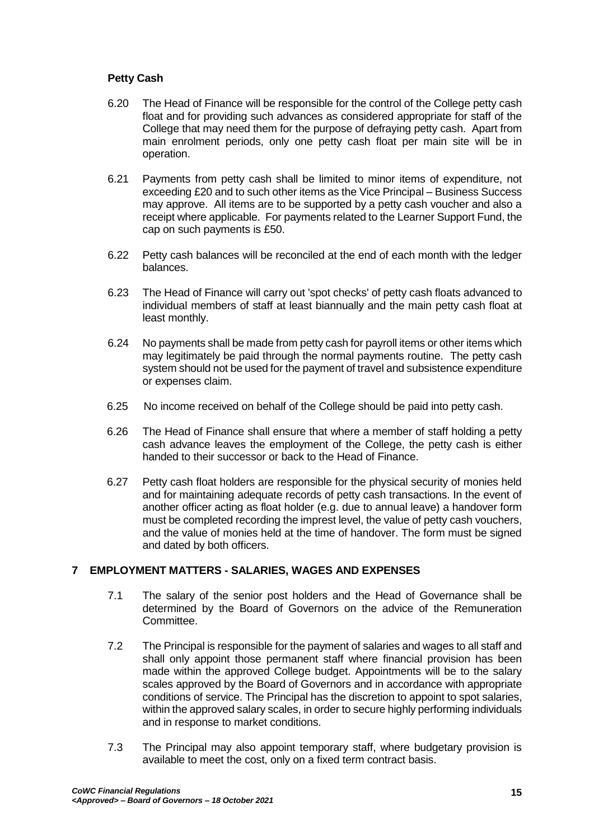## **Petty Cash**

- 6.20 The Head of Finance will be responsible for the control of the College petty cash float and for providing such advances as considered appropriate for staff of the College that may need them for the purpose of defraying petty cash. Apart from main enrolment periods, only one petty cash float per main site will be in operation.
- 6.21 Payments from petty cash shall be limited to minor items of expenditure, not exceeding £20 and to such other items as the Vice Principal – Business Success may approve. All items are to be supported by a petty cash voucher and also a receipt where applicable. For payments related to the Learner Support Fund, the cap on such payments is £50.
- 6.22 Petty cash balances will be reconciled at the end of each month with the ledger balances.
- 6.23 The Head of Finance will carry out 'spot checks' of petty cash floats advanced to individual members of staff at least biannually and the main petty cash float at least monthly.
- 6.24 No payments shall be made from petty cash for payroll items or other items which may legitimately be paid through the normal payments routine. The petty cash system should not be used for the payment of travel and subsistence expenditure or expenses claim.
- 6.25 No income received on behalf of the College should be paid into petty cash.
- 6.26 The Head of Finance shall ensure that where a member of staff holding a petty cash advance leaves the employment of the College, the petty cash is either handed to their successor or back to the Head of Finance.
- 6.27 Petty cash float holders are responsible for the physical security of monies held and for maintaining adequate records of petty cash transactions. In the event of another officer acting as float holder (e.g. due to annual leave) a handover form must be completed recording the imprest level, the value of petty cash vouchers, and the value of monies held at the time of handover. The form must be signed and dated by both officers.

## <span id="page-14-0"></span>**7 EMPLOYMENT MATTERS - SALARIES, WAGES AND EXPENSES**

- 7.1 The salary of the senior post holders and the Head of Governance shall be determined by the Board of Governors on the advice of the Remuneration Committee.
- 7.2 The Principal is responsible for the payment of salaries and wages to all staff and shall only appoint those permanent staff where financial provision has been made within the approved College budget. Appointments will be to the salary scales approved by the Board of Governors and in accordance with appropriate conditions of service. The Principal has the discretion to appoint to spot salaries, within the approved salary scales, in order to secure highly performing individuals and in response to market conditions.
- 7.3 The Principal may also appoint temporary staff, where budgetary provision is available to meet the cost, only on a fixed term contract basis.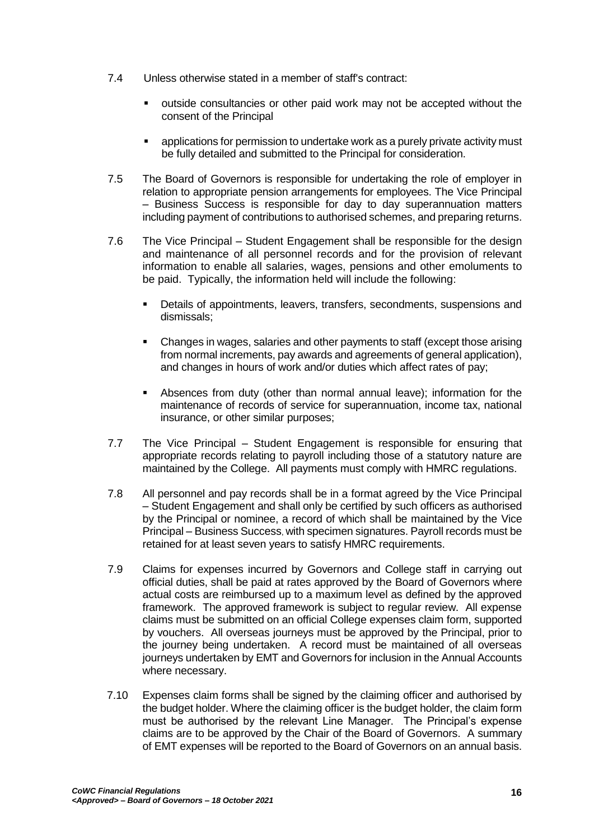- 7.4 Unless otherwise stated in a member of staff's contract:
	- outside consultancies or other paid work may not be accepted without the consent of the Principal
	- applications for permission to undertake work as a purely private activity must be fully detailed and submitted to the Principal for consideration.
- 7.5 The Board of Governors is responsible for undertaking the role of employer in relation to appropriate pension arrangements for employees. The Vice Principal – Business Success is responsible for day to day superannuation matters including payment of contributions to authorised schemes, and preparing returns.
- 7.6 The Vice Principal Student Engagement shall be responsible for the design and maintenance of all personnel records and for the provision of relevant information to enable all salaries, wages, pensions and other emoluments to be paid. Typically, the information held will include the following:
	- Details of appointments, leavers, transfers, secondments, suspensions and dismissals;
	- Changes in wages, salaries and other payments to staff (except those arising from normal increments, pay awards and agreements of general application), and changes in hours of work and/or duties which affect rates of pay;
	- Absences from duty (other than normal annual leave); information for the maintenance of records of service for superannuation, income tax, national insurance, or other similar purposes;
- 7.7 The Vice Principal Student Engagement is responsible for ensuring that appropriate records relating to payroll including those of a statutory nature are maintained by the College. All payments must comply with HMRC regulations.
- 7.8 All personnel and pay records shall be in a format agreed by the Vice Principal – Student Engagement and shall only be certified by such officers as authorised by the Principal or nominee, a record of which shall be maintained by the Vice Principal – Business Success, with specimen signatures. Payroll records must be retained for at least seven years to satisfy HMRC requirements.
- 7.9 Claims for expenses incurred by Governors and College staff in carrying out official duties, shall be paid at rates approved by the Board of Governors where actual costs are reimbursed up to a maximum level as defined by the approved framework. The approved framework is subject to regular review. All expense claims must be submitted on an official College expenses claim form, supported by vouchers. All overseas journeys must be approved by the Principal, prior to the journey being undertaken. A record must be maintained of all overseas journeys undertaken by EMT and Governors for inclusion in the Annual Accounts where necessary.
- 7.10 Expenses claim forms shall be signed by the claiming officer and authorised by the budget holder. Where the claiming officer is the budget holder, the claim form must be authorised by the relevant Line Manager. The Principal's expense claims are to be approved by the Chair of the Board of Governors.A summary of EMT expenses will be reported to the Board of Governors on an annual basis.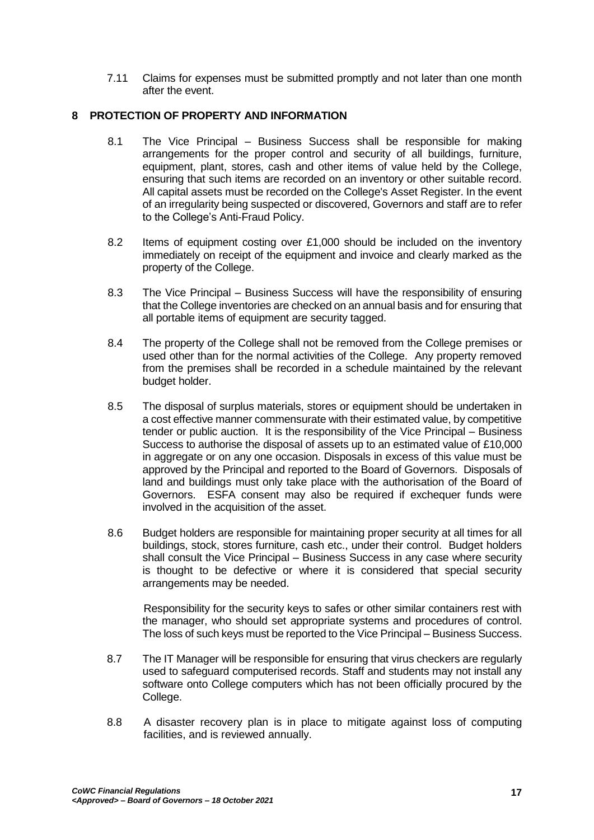7.11 Claims for expenses must be submitted promptly and not later than one month after the event.

## <span id="page-16-0"></span>**8 PROTECTION OF PROPERTY AND INFORMATION**

- 8.1 The Vice Principal Business Success shall be responsible for making arrangements for the proper control and security of all buildings, furniture, equipment, plant, stores, cash and other items of value held by the College, ensuring that such items are recorded on an inventory or other suitable record. All capital assets must be recorded on the College's Asset Register. In the event of an irregularity being suspected or discovered, Governors and staff are to refer to the College's Anti-Fraud Policy.
- 8.2 Items of equipment costing over  $£1,000$  should be included on the inventory immediately on receipt of the equipment and invoice and clearly marked as the property of the College.
- 8.3 The Vice Principal Business Success will have the responsibility of ensuring that the College inventories are checked on an annual basis and for ensuring that all portable items of equipment are security tagged.
- 8.4 The property of the College shall not be removed from the College premises or used other than for the normal activities of the College. Any property removed from the premises shall be recorded in a schedule maintained by the relevant budget holder.
- 8.5 The disposal of surplus materials, stores or equipment should be undertaken in a cost effective manner commensurate with their estimated value, by competitive tender or public auction. It is the responsibility of the Vice Principal – Business Success to authorise the disposal of assets up to an estimated value of £10,000 in aggregate or on any one occasion. Disposals in excess of this value must be approved by the Principal and reported to the Board of Governors. Disposals of land and buildings must only take place with the authorisation of the Board of Governors. ESFA consent may also be required if exchequer funds were involved in the acquisition of the asset.
- 8.6 Budget holders are responsible for maintaining proper security at all times for all buildings, stock, stores furniture, cash etc., under their control. Budget holders shall consult the Vice Principal – Business Success in any case where security is thought to be defective or where it is considered that special security arrangements may be needed.

Responsibility for the security keys to safes or other similar containers rest with the manager, who should set appropriate systems and procedures of control. The loss of such keys must be reported to the Vice Principal – Business Success.

- 8.7 The IT Manager will be responsible for ensuring that virus checkers are regularly used to safeguard computerised records. Staff and students may not install any software onto College computers which has not been officially procured by the College.
- 8.8 A disaster recovery plan is in place to mitigate against loss of computing facilities, and is reviewed annually.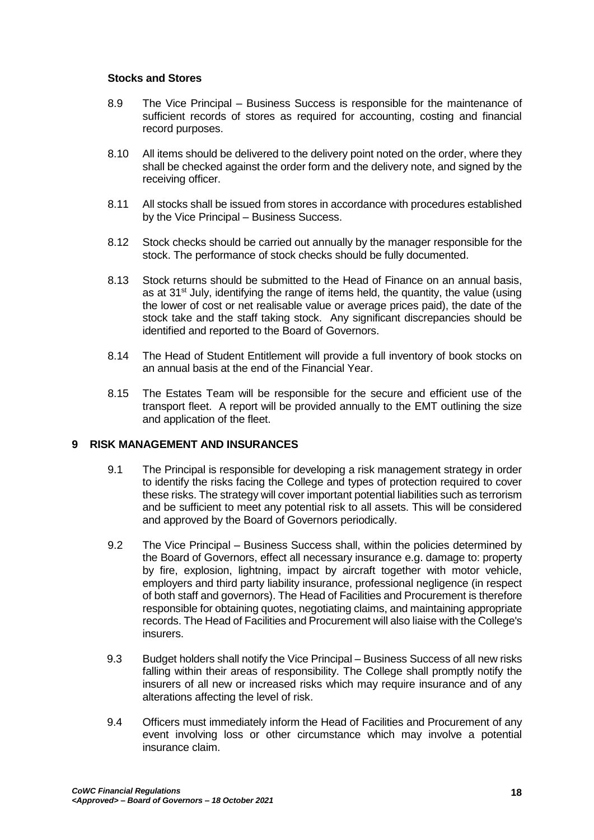## **Stocks and Stores**

- 8.9 The Vice Principal Business Success is responsible for the maintenance of sufficient records of stores as required for accounting, costing and financial record purposes.
- 8.10 All items should be delivered to the delivery point noted on the order, where they shall be checked against the order form and the delivery note, and signed by the receiving officer.
- 8.11 All stocks shall be issued from stores in accordance with procedures established by the Vice Principal – Business Success.
- 8.12 Stock checks should be carried out annually by the manager responsible for the stock. The performance of stock checks should be fully documented.
- 8.13 Stock returns should be submitted to the Head of Finance on an annual basis, as at  $31^{st}$  July, identifying the range of items held, the quantity, the value (using the lower of cost or net realisable value or average prices paid), the date of the stock take and the staff taking stock. Any significant discrepancies should be identified and reported to the Board of Governors.
- 8.14 The Head of Student Entitlement will provide a full inventory of book stocks on an annual basis at the end of the Financial Year.
- 8.15 The Estates Team will be responsible for the secure and efficient use of the transport fleet. A report will be provided annually to the EMT outlining the size and application of the fleet.

## <span id="page-17-0"></span>**9 RISK MANAGEMENT AND INSURANCES**

- 9.1 The Principal is responsible for developing a risk management strategy in order to identify the risks facing the College and types of protection required to cover these risks. The strategy will cover important potential liabilities such as terrorism and be sufficient to meet any potential risk to all assets. This will be considered and approved by the Board of Governors periodically.
- 9.2 The Vice Principal Business Success shall, within the policies determined by the Board of Governors, effect all necessary insurance e.g. damage to: property by fire, explosion, lightning, impact by aircraft together with motor vehicle, employers and third party liability insurance, professional negligence (in respect of both staff and governors). The Head of Facilities and Procurement is therefore responsible for obtaining quotes, negotiating claims, and maintaining appropriate records. The Head of Facilities and Procurement will also liaise with the College's insurers.
- 9.3 Budget holders shall notify the Vice Principal Business Success of all new risks falling within their areas of responsibility. The College shall promptly notify the insurers of all new or increased risks which may require insurance and of any alterations affecting the level of risk.
- 9.4 Officers must immediately inform the Head of Facilities and Procurement of any event involving loss or other circumstance which may involve a potential insurance claim.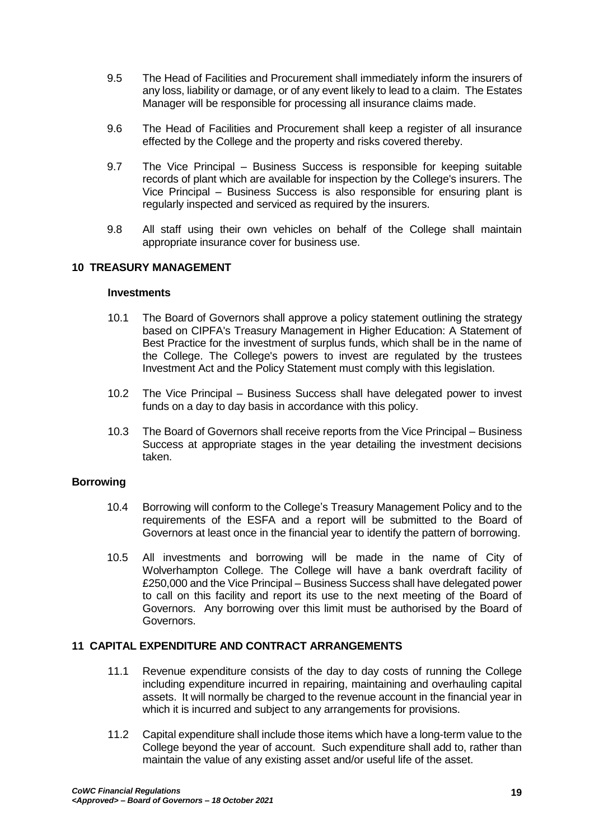- 9.5 The Head of Facilities and Procurement shall immediately inform the insurers of any loss, liability or damage, or of any event likely to lead to a claim. The Estates Manager will be responsible for processing all insurance claims made.
- 9.6 The Head of Facilities and Procurement shall keep a register of all insurance effected by the College and the property and risks covered thereby.
- 9.7 The Vice Principal Business Success is responsible for keeping suitable records of plant which are available for inspection by the College's insurers. The Vice Principal – Business Success is also responsible for ensuring plant is regularly inspected and serviced as required by the insurers.
- 9.8 All staff using their own vehicles on behalf of the College shall maintain appropriate insurance cover for business use.

### <span id="page-18-0"></span>**10 TREASURY MANAGEMENT**

# **Investments**

- 10.1 The Board of Governors shall approve a policy statement outlining the strategy based on CIPFA's Treasury Management in Higher Education: A Statement of Best Practice for the investment of surplus funds, which shall be in the name of the College. The College's powers to invest are regulated by the trustees Investment Act and the Policy Statement must comply with this legislation.
- 10.2 The Vice Principal Business Success shall have delegated power to invest funds on a day to day basis in accordance with this policy.
- 10.3 The Board of Governors shall receive reports from the Vice Principal Business Success at appropriate stages in the year detailing the investment decisions taken.

#### **Borrowing**

- 10.4 Borrowing will conform to the College's Treasury Management Policy and to the requirements of the ESFA and a report will be submitted to the Board of Governors at least once in the financial year to identify the pattern of borrowing.
- 10.5 All investments and borrowing will be made in the name of City of Wolverhampton College. The College will have a bank overdraft facility of £250,000 and the Vice Principal – Business Success shall have delegated power to call on this facility and report its use to the next meeting of the Board of Governors. Any borrowing over this limit must be authorised by the Board of Governors.

## <span id="page-18-1"></span>**11 CAPITAL EXPENDITURE AND CONTRACT ARRANGEMENTS**

- 11.1 Revenue expenditure consists of the day to day costs of running the College including expenditure incurred in repairing, maintaining and overhauling capital assets. It will normally be charged to the revenue account in the financial year in which it is incurred and subject to any arrangements for provisions.
- 11.2 Capital expenditure shall include those items which have a long-term value to the College beyond the year of account. Such expenditure shall add to, rather than maintain the value of any existing asset and/or useful life of the asset.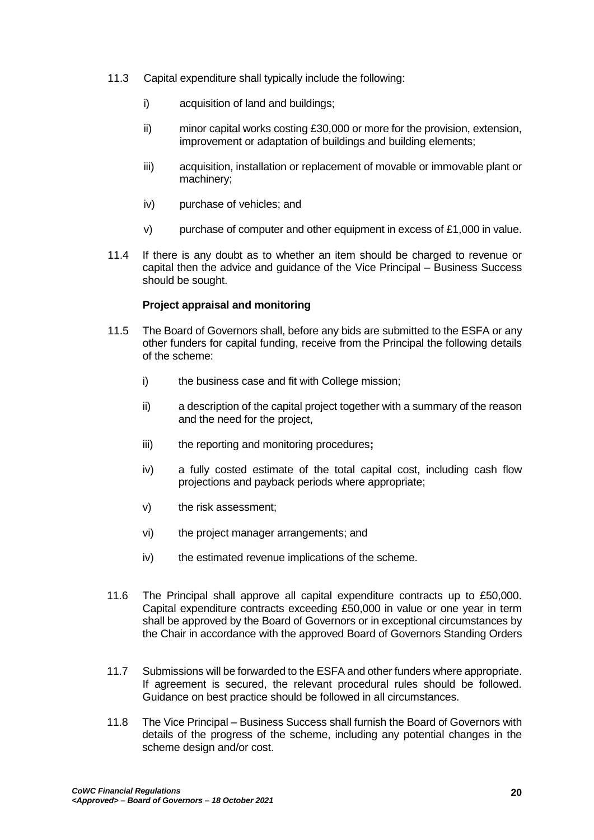- 11.3 Capital expenditure shall typically include the following:
	- i) acquisition of land and buildings:
	- ii) minor capital works costing £30,000 or more for the provision, extension, improvement or adaptation of buildings and building elements;
	- iii) acquisition, installation or replacement of movable or immovable plant or machinery;
	- iv) purchase of vehicles; and
	- $v$ ) purchase of computer and other equipment in excess of £1,000 in value.
- 11.4 If there is any doubt as to whether an item should be charged to revenue or capital then the advice and guidance of the Vice Principal – Business Success should be sought.

### **Project appraisal and monitoring**

- 11.5 The Board of Governors shall, before any bids are submitted to the ESFA or any other funders for capital funding, receive from the Principal the following details of the scheme:
	- i) the business case and fit with College mission;
	- ii) a description of the capital project together with a summary of the reason and the need for the project,
	- iii) the reporting and monitoring procedures**;**
	- iv) a fully costed estimate of the total capital cost, including cash flow projections and payback periods where appropriate;
	- v) the risk assessment;
	- vi) the project manager arrangements; and
	- iv) the estimated revenue implications of the scheme.
- 11.6 The Principal shall approve all capital expenditure contracts up to £50,000. Capital expenditure contracts exceeding £50,000 in value or one year in term shall be approved by the Board of Governors or in exceptional circumstances by the Chair in accordance with the approved Board of Governors Standing Orders
- 11.7 Submissions will be forwarded to the ESFA and other funders where appropriate. If agreement is secured, the relevant procedural rules should be followed. Guidance on best practice should be followed in all circumstances.
- 11.8 The Vice Principal Business Success shall furnish the Board of Governors with details of the progress of the scheme, including any potential changes in the scheme design and/or cost.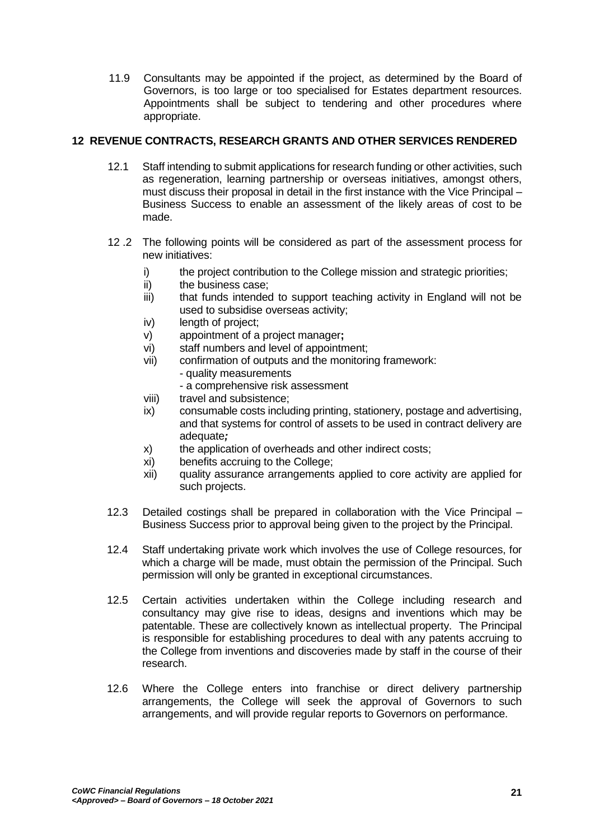11.9 Consultants may be appointed if the project, as determined by the Board of Governors, is too large or too specialised for Estates department resources. Appointments shall be subject to tendering and other procedures where appropriate.

# <span id="page-20-0"></span>**12 REVENUE CONTRACTS, RESEARCH GRANTS AND OTHER SERVICES RENDERED**

- 12.1 Staff intending to submit applications for research funding or other activities, such as regeneration, learning partnership or overseas initiatives, amongst others, must discuss their proposal in detail in the first instance with the Vice Principal – Business Success to enable an assessment of the likely areas of cost to be made.
- 12 .2 The following points will be considered as part of the assessment process for new initiatives:
	- i) the project contribution to the College mission and strategic priorities;
	- ii) the business case;
	- iii) that funds intended to support teaching activity in England will not be used to subsidise overseas activity;
	- iv) length of project:
	- v) appointment of a project manager**;**
	- vi) staff numbers and level of appointment;
	- vii) confirmation of outputs and the monitoring framework: - quality measurements
		- a comprehensive risk assessment
	- viii) travel and subsistence;
	- ix) consumable costs including printing, stationery, postage and advertising, and that systems for control of assets to be used in contract delivery are adequate*;*
	- x) the application of overheads and other indirect costs;
	- xi) benefits accruing to the College;
	- xii) quality assurance arrangements applied to core activity are applied for such projects.
- 12.3 Detailed costings shall be prepared in collaboration with the Vice Principal Business Success prior to approval being given to the project by the Principal.
- 12.4 Staff undertaking private work which involves the use of College resources, for which a charge will be made, must obtain the permission of the Principal. Such permission will only be granted in exceptional circumstances.
- 12.5 Certain activities undertaken within the College including research and consultancy may give rise to ideas, designs and inventions which may be patentable. These are collectively known as intellectual property. The Principal is responsible for establishing procedures to deal with any patents accruing to the College from inventions and discoveries made by staff in the course of their research.
- 12.6 Where the College enters into franchise or direct delivery partnership arrangements, the College will seek the approval of Governors to such arrangements, and will provide regular reports to Governors on performance.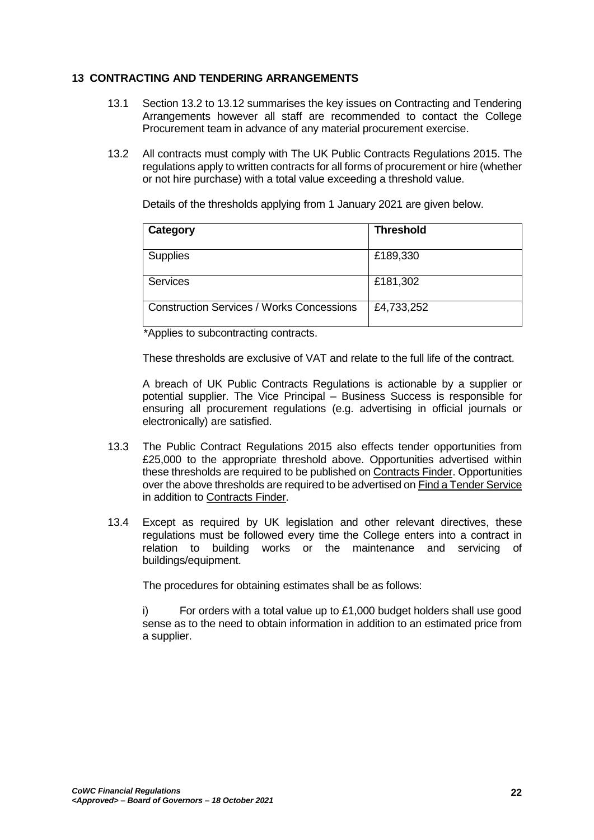## <span id="page-21-0"></span>**13 CONTRACTING AND TENDERING ARRANGEMENTS**

- 13.1 Section 13.2 to 13.12 summarises the key issues on Contracting and Tendering Arrangements however all staff are recommended to contact the College Procurement team in advance of any material procurement exercise.
- 13.2 All contracts must comply with The UK Public Contracts Regulations 2015. The regulations apply to written contracts for all forms of procurement or hire (whether or not hire purchase) with a total value exceeding a threshold value.

Details of the thresholds applying from 1 January 2021 are given below.

| Category                                         | <b>Threshold</b> |
|--------------------------------------------------|------------------|
| <b>Supplies</b>                                  | £189,330         |
| <b>Services</b>                                  | £181,302         |
| <b>Construction Services / Works Concessions</b> | £4,733,252       |

\*Applies to subcontracting contracts.

These thresholds are exclusive of VAT and relate to the full life of the contract.

A breach of UK Public Contracts Regulations is actionable by a supplier or potential supplier. The Vice Principal – Business Success is responsible for ensuring all procurement regulations (e.g. advertising in official journals or electronically) are satisfied.

- 13.3 The Public Contract Regulations 2015 also effects tender opportunities from £25,000 to the appropriate threshold above. Opportunities advertised within these thresholds are required to be published on [Contracts Finder.](https://www.gov.uk/contracts-finder) Opportunities over the above thresholds are required to be advertised on Find a Tender Service in addition to Contracts Finder.
- 13.4 Except as required by UK legislation and other relevant directives, these regulations must be followed every time the College enters into a contract in relation to building works or the maintenance and servicing of buildings/equipment.

The procedures for obtaining estimates shall be as follows:

i) For orders with a total value up to  $£1,000$  budget holders shall use good sense as to the need to obtain information in addition to an estimated price from a supplier.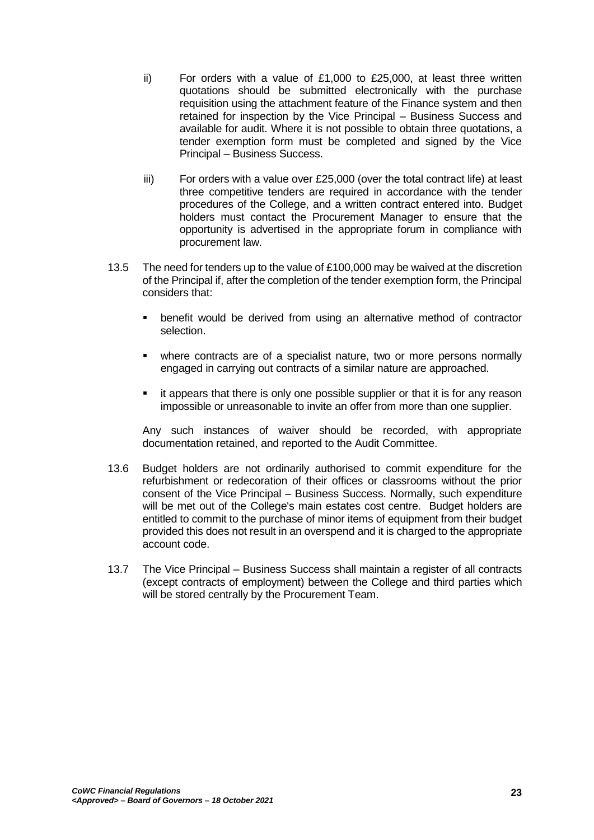- ii) For orders with a value of £1,000 to £25,000, at least three written quotations should be submitted electronically with the purchase requisition using the attachment feature of the Finance system and then retained for inspection by the Vice Principal – Business Success and available for audit. Where it is not possible to obtain three quotations, a tender exemption form must be completed and signed by the Vice Principal – Business Success.
- iii) For orders with a value over  $£25,000$  (over the total contract life) at least three competitive tenders are required in accordance with the tender procedures of the College, and a written contract entered into. Budget holders must contact the Procurement Manager to ensure that the opportunity is advertised in the appropriate forum in compliance with procurement law.
- 13.5 The need for tenders up to the value of £100,000 may be waived at the discretion of the Principal if, after the completion of the tender exemption form, the Principal considers that:
	- benefit would be derived from using an alternative method of contractor selection.
	- where contracts are of a specialist nature, two or more persons normally engaged in carrying out contracts of a similar nature are approached.
	- it appears that there is only one possible supplier or that it is for any reason impossible or unreasonable to invite an offer from more than one supplier.

Any such instances of waiver should be recorded, with appropriate documentation retained, and reported to the Audit Committee.

- 13.6 Budget holders are not ordinarily authorised to commit expenditure for the refurbishment or redecoration of their offices or classrooms without the prior consent of the Vice Principal – Business Success. Normally, such expenditure will be met out of the College's main estates cost centre. Budget holders are entitled to commit to the purchase of minor items of equipment from their budget provided this does not result in an overspend and it is charged to the appropriate account code.
- 13.7 The Vice Principal Business Success shall maintain a register of all contracts (except contracts of employment) between the College and third parties which will be stored centrally by the Procurement Team.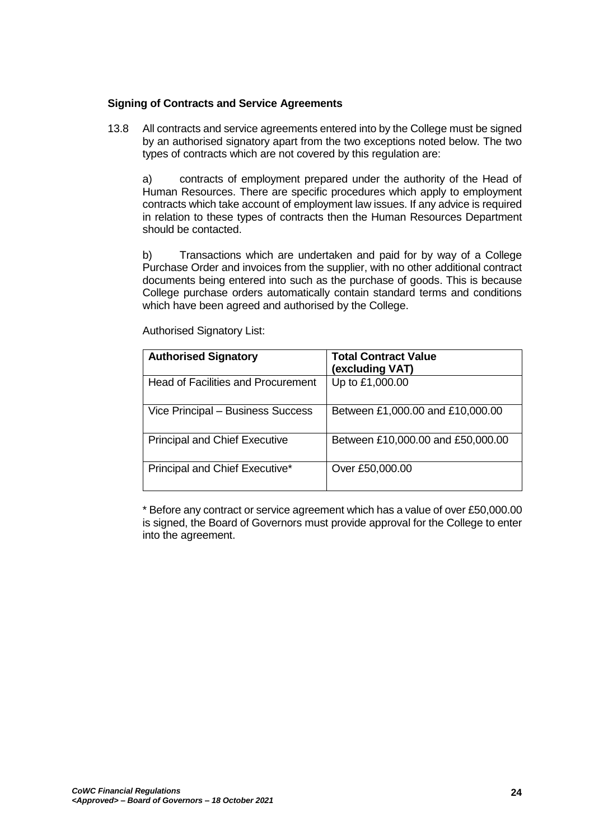## **Signing of Contracts and Service Agreements**

13.8 All contracts and service agreements entered into by the College must be signed by an authorised signatory apart from the two exceptions noted below. The two types of contracts which are not covered by this regulation are:

a) contracts of employment prepared under the authority of the Head of Human Resources. There are specific procedures which apply to employment contracts which take account of employment law issues. If any advice is required in relation to these types of contracts then the Human Resources Department should be contacted.

b) Transactions which are undertaken and paid for by way of a College Purchase Order and invoices from the supplier, with no other additional contract documents being entered into such as the purchase of goods. This is because College purchase orders automatically contain standard terms and conditions which have been agreed and authorised by the College.

| <b>Authorised Signatory</b>               | <b>Total Contract Value</b><br>(excluding VAT) |
|-------------------------------------------|------------------------------------------------|
| <b>Head of Facilities and Procurement</b> | Up to £1,000.00                                |
| Vice Principal - Business Success         | Between £1,000.00 and £10,000.00               |
| <b>Principal and Chief Executive</b>      | Between £10,000.00 and £50,000.00              |
| Principal and Chief Executive*            | Over £50,000.00                                |

Authorised Signatory List:

\* Before any contract or service agreement which has a value of over £50,000.00 is signed, the Board of Governors must provide approval for the College to enter into the agreement.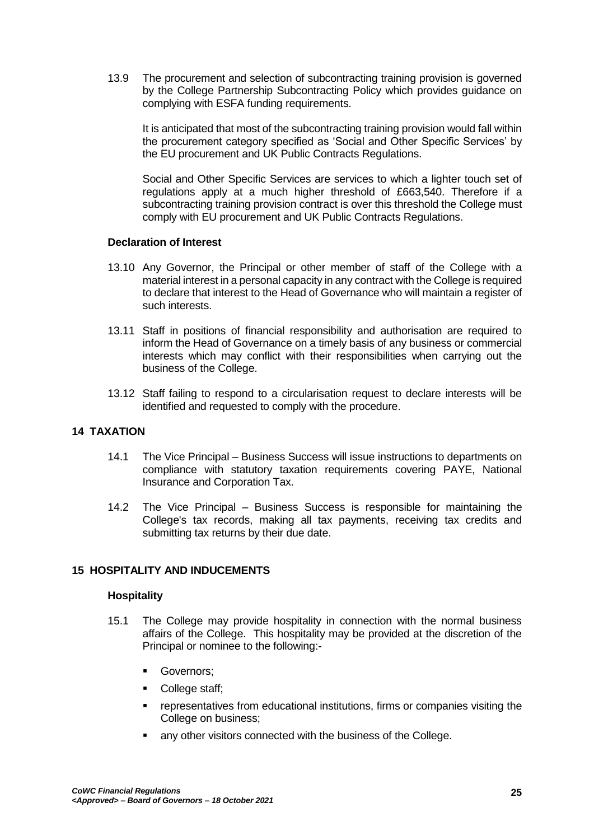13.9 The procurement and selection of subcontracting training provision is governed by the College Partnership Subcontracting Policy which provides guidance on complying with ESFA funding requirements.

It is anticipated that most of the subcontracting training provision would fall within the procurement category specified as 'Social and Other Specific Services' by the EU procurement and UK Public Contracts Regulations.

Social and Other Specific Services are services to which a lighter touch set of regulations apply at a much higher threshold of £663,540. Therefore if a subcontracting training provision contract is over this threshold the College must comply with EU procurement and UK Public Contracts Regulations.

### **Declaration of Interest**

- 13.10 Any Governor, the Principal or other member of staff of the College with a material interest in a personal capacity in any contract with the College is required to declare that interest to the Head of Governance who will maintain a register of such interests.
- 13.11 Staff in positions of financial responsibility and authorisation are required to inform the Head of Governance on a timely basis of any business or commercial interests which may conflict with their responsibilities when carrying out the business of the College.
- 13.12 Staff failing to respond to a circularisation request to declare interests will be identified and requested to comply with the procedure.

# <span id="page-24-0"></span>**14 TAXATION**

- 14.1 The Vice Principal Business Success will issue instructions to departments on compliance with statutory taxation requirements covering PAYE, National Insurance and Corporation Tax.
- 14.2 The Vice Principal Business Success is responsible for maintaining the College's tax records, making all tax payments, receiving tax credits and submitting tax returns by their due date.

## <span id="page-24-1"></span>**15 HOSPITALITY AND INDUCEMENTS**

#### **Hospitality**

- 15.1 The College may provide hospitality in connection with the normal business affairs of the College. This hospitality may be provided at the discretion of the Principal or nominee to the following:-
	- **Governors**;
	- College staff;
	- representatives from educational institutions, firms or companies visiting the College on business;
	- **any other visitors connected with the business of the College.**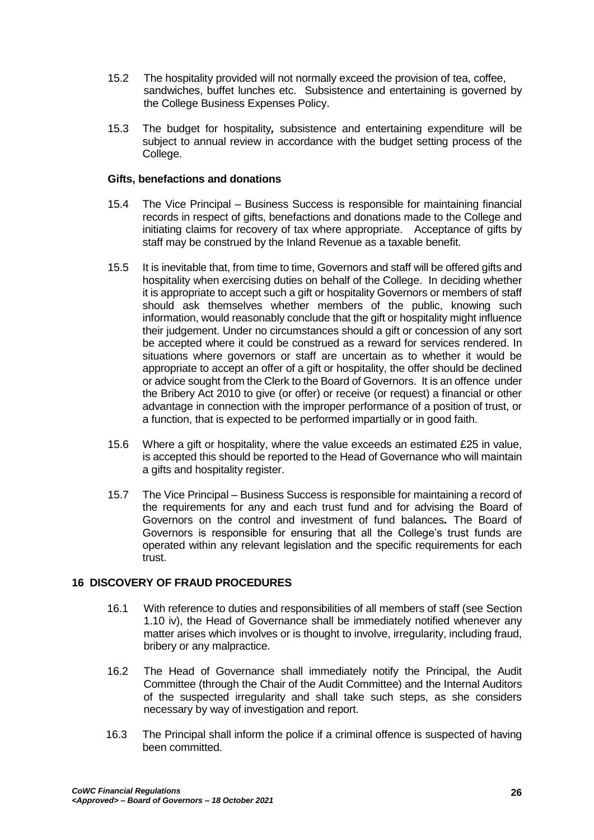- 15.2 The hospitality provided will not normally exceed the provision of tea, coffee, sandwiches, buffet lunches etc. Subsistence and entertaining is governed by the College Business Expenses Policy.
- 15.3 The budget for hospitality*,* subsistence and entertaining expenditure will be subject to annual review in accordance with the budget setting process of the College.

### **Gifts, benefactions and donations**

- 15.4 The Vice Principal Business Success is responsible for maintaining financial records in respect of gifts, benefactions and donations made to the College and initiating claims for recovery of tax where appropriate. Acceptance of gifts by staff may be construed by the Inland Revenue as a taxable benefit.
- 15.5 It is inevitable that, from time to time, Governors and staff will be offered gifts and hospitality when exercising duties on behalf of the College. In deciding whether it is appropriate to accept such a gift or hospitality Governors or members of staff should ask themselves whether members of the public, knowing such information, would reasonably conclude that the gift or hospitality might influence their judgement. Under no circumstances should a gift or concession of any sort be accepted where it could be construed as a reward for services rendered. In situations where governors or staff are uncertain as to whether it would be appropriate to accept an offer of a gift or hospitality, the offer should be declined or advice sought from the Clerk to the Board of Governors. It is an offence under the Bribery Act 2010 to give (or offer) or receive (or request) a financial or other advantage in connection with the improper performance of a position of trust, or a function, that is expected to be performed impartially or in good faith.
- 15.6 Where a gift or hospitality, where the value exceeds an estimated £25 in value, is accepted this should be reported to the Head of Governance who will maintain a gifts and hospitality register.
- 15.7 The Vice Principal Business Success is responsible for maintaining a record of the requirements for any and each trust fund and for advising the Board of Governors on the control and investment of fund balances*.* The Board of Governors is responsible for ensuring that all the College's trust funds are operated within any relevant legislation and the specific requirements for each trust.

## <span id="page-25-0"></span>**16 DISCOVERY OF FRAUD PROCEDURES**

- 16.1 With reference to duties and responsibilities of all members of staff (see Section 1.10 iv), the Head of Governance shall be immediately notified whenever any matter arises which involves or is thought to involve, irregularity, including fraud, bribery or any malpractice.
- 16.2 The Head of Governance shall immediately notify the Principal, the Audit Committee (through the Chair of the Audit Committee) and the Internal Auditors of the suspected irregularity and shall take such steps, as she considers necessary by way of investigation and report.
- 16.3 The Principal shall inform the police if a criminal offence is suspected of having been committed.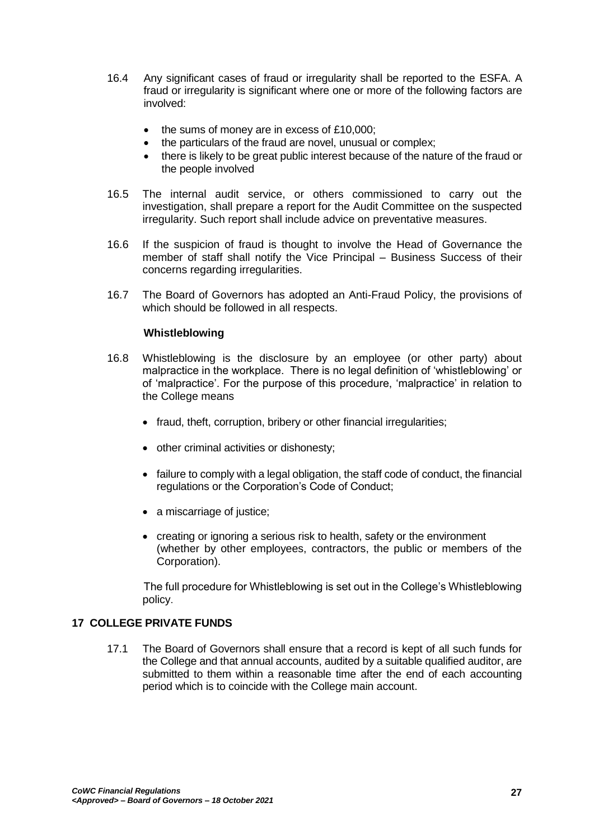- 16.4 Any significant cases of fraud or irregularity shall be reported to the ESFA. A fraud or irregularity is significant where one or more of the following factors are involved:
	- the sums of money are in excess of £10,000;
	- the particulars of the fraud are novel, unusual or complex;
	- there is likely to be great public interest because of the nature of the fraud or the people involved
- 16.5 The internal audit service, or others commissioned to carry out the investigation, shall prepare a report for the Audit Committee on the suspected irregularity. Such report shall include advice on preventative measures.
- 16.6 If the suspicion of fraud is thought to involve the Head of Governance the member of staff shall notify the Vice Principal – Business Success of their concerns regarding irregularities.
- 16.7 The Board of Governors has adopted an Anti-Fraud Policy, the provisions of which should be followed in all respects.

### **Whistleblowing**

- 16.8 Whistleblowing is the disclosure by an employee (or other party) about malpractice in the workplace. There is no legal definition of 'whistleblowing' or of 'malpractice'. For the purpose of this procedure, 'malpractice' in relation to the College means
	- fraud, theft, corruption, bribery or other financial irregularities;
	- other criminal activities or dishonesty;
	- failure to comply with a legal obligation, the staff code of conduct, the financial regulations or the Corporation's Code of Conduct;
	- a miscarriage of justice;
	- creating or ignoring a serious risk to health, safety or the environment (whether by other employees, contractors, the public or members of the Corporation).

The full procedure for Whistleblowing is set out in the College's Whistleblowing policy.

## <span id="page-26-0"></span>**17 COLLEGE PRIVATE FUNDS**

17.1 The Board of Governors shall ensure that a record is kept of all such funds for the College and that annual accounts, audited by a suitable qualified auditor, are submitted to them within a reasonable time after the end of each accounting period which is to coincide with the College main account.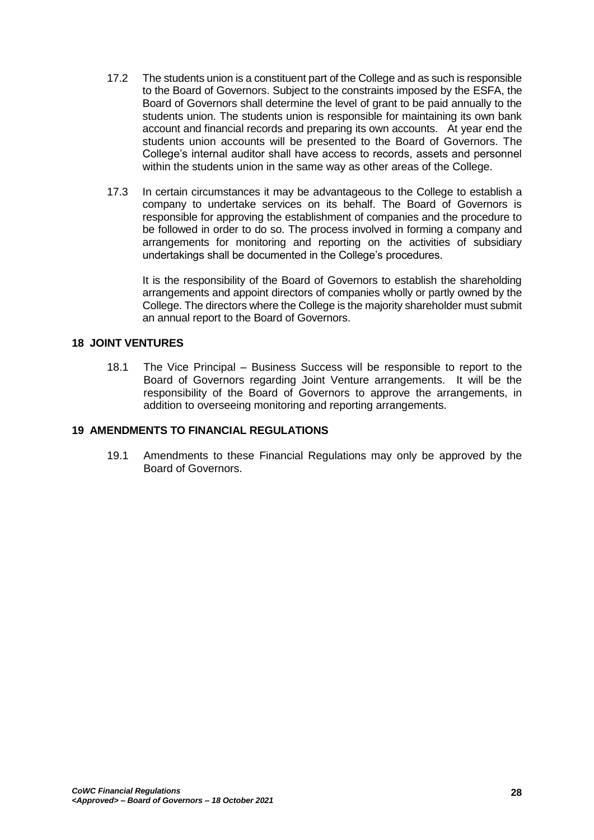- 17.2 The students union is a constituent part of the College and as such is responsible to the Board of Governors. Subject to the constraints imposed by the ESFA, the Board of Governors shall determine the level of grant to be paid annually to the students union. The students union is responsible for maintaining its own bank account and financial records and preparing its own accounts. At year end the students union accounts will be presented to the Board of Governors. The College's internal auditor shall have access to records, assets and personnel within the students union in the same way as other areas of the College.
- 17.3 In certain circumstances it may be advantageous to the College to establish a company to undertake services on its behalf. The Board of Governors is responsible for approving the establishment of companies and the procedure to be followed in order to do so. The process involved in forming a company and arrangements for monitoring and reporting on the activities of subsidiary undertakings shall be documented in the College's procedures.

It is the responsibility of the Board of Governors to establish the shareholding arrangements and appoint directors of companies wholly or partly owned by the College. The directors where the College is the majority shareholder must submit an annual report to the Board of Governors.

### <span id="page-27-0"></span>**18 JOINT VENTURES**

18.1 The Vice Principal – Business Success will be responsible to report to the Board of Governors regarding Joint Venture arrangements. It will be the responsibility of the Board of Governors to approve the arrangements, in addition to overseeing monitoring and reporting arrangements.

### <span id="page-27-1"></span>**19 AMENDMENTS TO FINANCIAL REGULATIONS**

19.1 Amendments to these Financial Regulations may only be approved by the Board of Governors.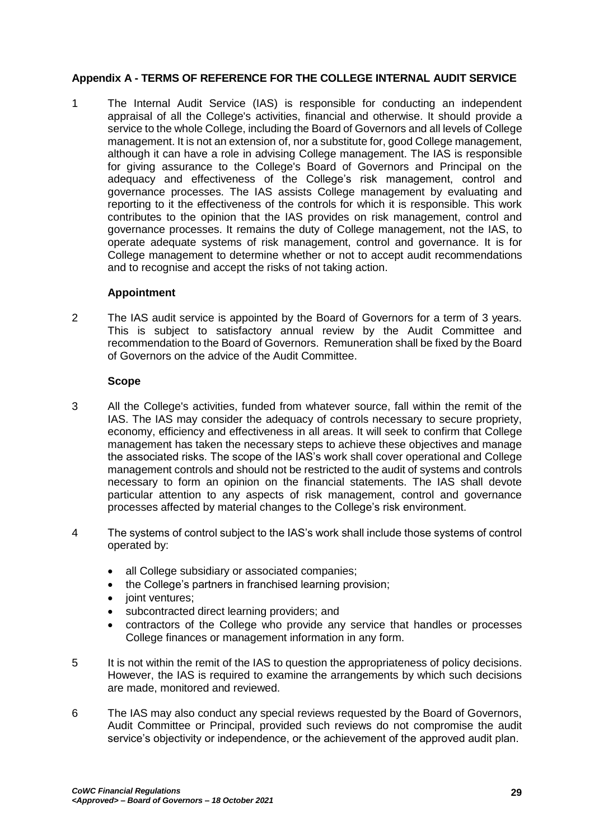# <span id="page-28-0"></span>**Appendix A - TERMS OF REFERENCE FOR THE COLLEGE INTERNAL AUDIT SERVICE**

1 The Internal Audit Service (IAS) is responsible for conducting an independent appraisal of all the College's activities, financial and otherwise. It should provide a service to the whole College, including the Board of Governors and all levels of College management. It is not an extension of, nor a substitute for, good College management, although it can have a role in advising College management. The IAS is responsible for giving assurance to the College's Board of Governors and Principal on the adequacy and effectiveness of the College's risk management, control and governance processes. The IAS assists College management by evaluating and reporting to it the effectiveness of the controls for which it is responsible. This work contributes to the opinion that the IAS provides on risk management, control and governance processes. It remains the duty of College management, not the IAS, to operate adequate systems of risk management, control and governance. It is for College management to determine whether or not to accept audit recommendations and to recognise and accept the risks of not taking action.

### **Appointment**

2 The IAS audit service is appointed by the Board of Governors for a term of 3 years. This is subject to satisfactory annual review by the Audit Committee and recommendation to the Board of Governors. Remuneration shall be fixed by the Board of Governors on the advice of the Audit Committee.

#### **Scope**

- 3 All the College's activities, funded from whatever source, fall within the remit of the IAS. The IAS may consider the adequacy of controls necessary to secure propriety, economy, efficiency and effectiveness in all areas. It will seek to confirm that College management has taken the necessary steps to achieve these objectives and manage the associated risks. The scope of the IAS's work shall cover operational and College management controls and should not be restricted to the audit of systems and controls necessary to form an opinion on the financial statements. The IAS shall devote particular attention to any aspects of risk management, control and governance processes affected by material changes to the College's risk environment.
- 4 The systems of control subject to the IAS's work shall include those systems of control operated by:
	- all College subsidiary or associated companies;
	- the College's partners in franchised learning provision;
	- joint ventures;
	- subcontracted direct learning providers; and
	- contractors of the College who provide any service that handles or processes College finances or management information in any form.
- 5 It is not within the remit of the IAS to question the appropriateness of policy decisions. However, the IAS is required to examine the arrangements by which such decisions are made, monitored and reviewed.
- 6 The IAS may also conduct any special reviews requested by the Board of Governors, Audit Committee or Principal, provided such reviews do not compromise the audit service's objectivity or independence, or the achievement of the approved audit plan.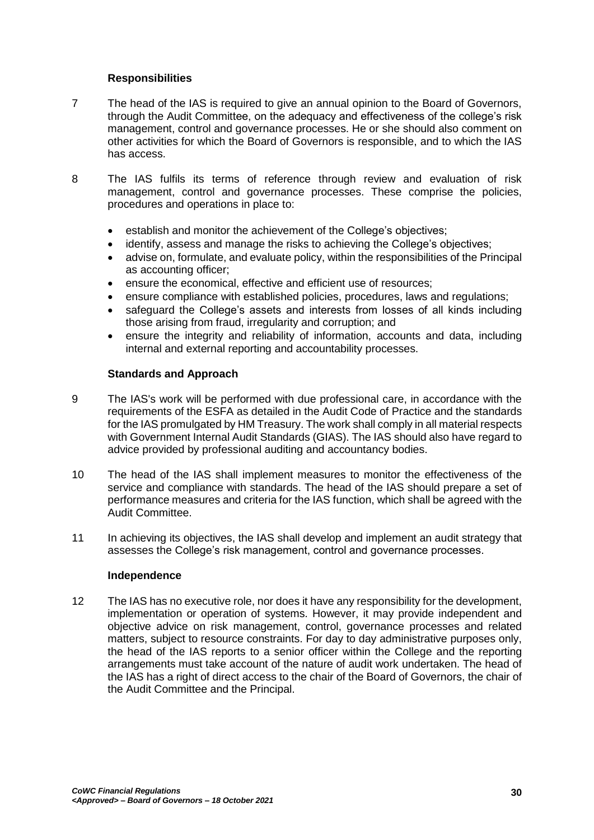## **Responsibilities**

- 7 The head of the IAS is required to give an annual opinion to the Board of Governors, through the Audit Committee, on the adequacy and effectiveness of the college's risk management, control and governance processes. He or she should also comment on other activities for which the Board of Governors is responsible, and to which the IAS has access.
- 8 The IAS fulfils its terms of reference through review and evaluation of risk management, control and governance processes. These comprise the policies, procedures and operations in place to:
	- establish and monitor the achievement of the College's objectives;
	- identify, assess and manage the risks to achieving the College's objectives;
	- advise on, formulate, and evaluate policy, within the responsibilities of the Principal as accounting officer;
	- ensure the economical, effective and efficient use of resources;
	- ensure compliance with established policies, procedures, laws and regulations;
	- safeguard the College's assets and interests from losses of all kinds including those arising from fraud, irregularity and corruption; and
	- ensure the integrity and reliability of information, accounts and data, including internal and external reporting and accountability processes.

## **Standards and Approach**

- 9 The IAS's work will be performed with due professional care, in accordance with the requirements of the ESFA as detailed in the Audit Code of Practice and the standards for the IAS promulgated by HM Treasury. The work shall comply in all material respects with Government Internal Audit Standards (GIAS). The IAS should also have regard to advice provided by professional auditing and accountancy bodies.
- 10 The head of the IAS shall implement measures to monitor the effectiveness of the service and compliance with standards. The head of the IAS should prepare a set of performance measures and criteria for the IAS function, which shall be agreed with the Audit Committee.
- 11 In achieving its objectives, the IAS shall develop and implement an audit strategy that assesses the College's risk management, control and governance processes.

## **Independence**

12 The IAS has no executive role, nor does it have any responsibility for the development, implementation or operation of systems. However, it may provide independent and objective advice on risk management, control, governance processes and related matters, subject to resource constraints. For day to day administrative purposes only, the head of the IAS reports to a senior officer within the College and the reporting arrangements must take account of the nature of audit work undertaken. The head of the IAS has a right of direct access to the chair of the Board of Governors, the chair of the Audit Committee and the Principal.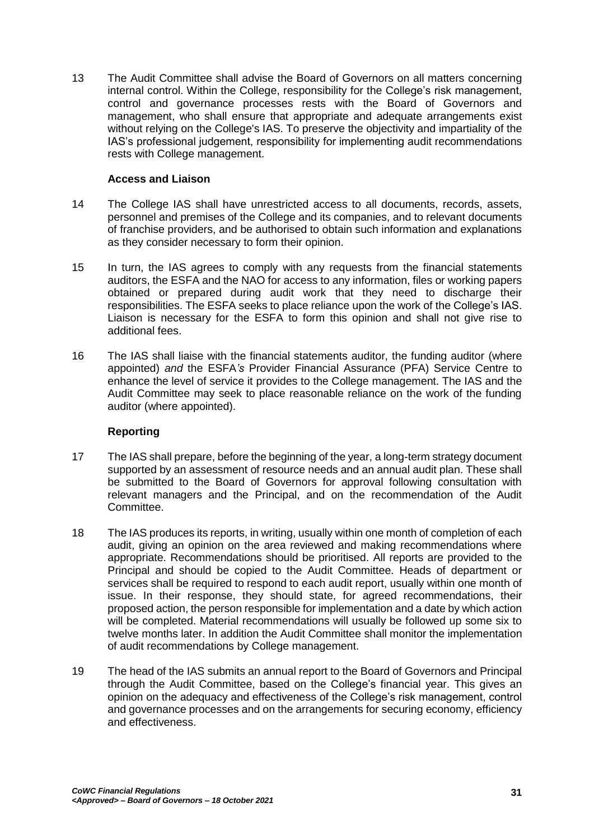13 The Audit Committee shall advise the Board of Governors on all matters concerning internal control. Within the College, responsibility for the College's risk management, control and governance processes rests with the Board of Governors and management, who shall ensure that appropriate and adequate arrangements exist without relying on the College's IAS. To preserve the objectivity and impartiality of the IAS's professional judgement, responsibility for implementing audit recommendations rests with College management.

## **Access and Liaison**

- 14 The College IAS shall have unrestricted access to all documents, records, assets, personnel and premises of the College and its companies, and to relevant documents of franchise providers, and be authorised to obtain such information and explanations as they consider necessary to form their opinion.
- 15 In turn, the IAS agrees to comply with any requests from the financial statements auditors, the ESFA and the NAO for access to any information, files or working papers obtained or prepared during audit work that they need to discharge their responsibilities. The ESFA seeks to place reliance upon the work of the College's IAS. Liaison is necessary for the ESFA to form this opinion and shall not give rise to additional fees.
- 16 The IAS shall liaise with the financial statements auditor, the funding auditor (where appointed) *and* the ESFA*'s* Provider Financial Assurance (PFA) Service Centre to enhance the level of service it provides to the College management. The IAS and the Audit Committee may seek to place reasonable reliance on the work of the funding auditor (where appointed).

## **Reporting**

- 17 The IAS shall prepare, before the beginning of the year, a long-term strategy document supported by an assessment of resource needs and an annual audit plan. These shall be submitted to the Board of Governors for approval following consultation with relevant managers and the Principal, and on the recommendation of the Audit Committee.
- 18 The IAS produces its reports, in writing, usually within one month of completion of each audit, giving an opinion on the area reviewed and making recommendations where appropriate. Recommendations should be prioritised. All reports are provided to the Principal and should be copied to the Audit Committee. Heads of department or services shall be required to respond to each audit report, usually within one month of issue. In their response, they should state, for agreed recommendations, their proposed action, the person responsible for implementation and a date by which action will be completed. Material recommendations will usually be followed up some six to twelve months later. In addition the Audit Committee shall monitor the implementation of audit recommendations by College management.
- 19 The head of the IAS submits an annual report to the Board of Governors and Principal through the Audit Committee, based on the College's financial year. This gives an opinion on the adequacy and effectiveness of the College's risk management, control and governance processes and on the arrangements for securing economy, efficiency and effectiveness.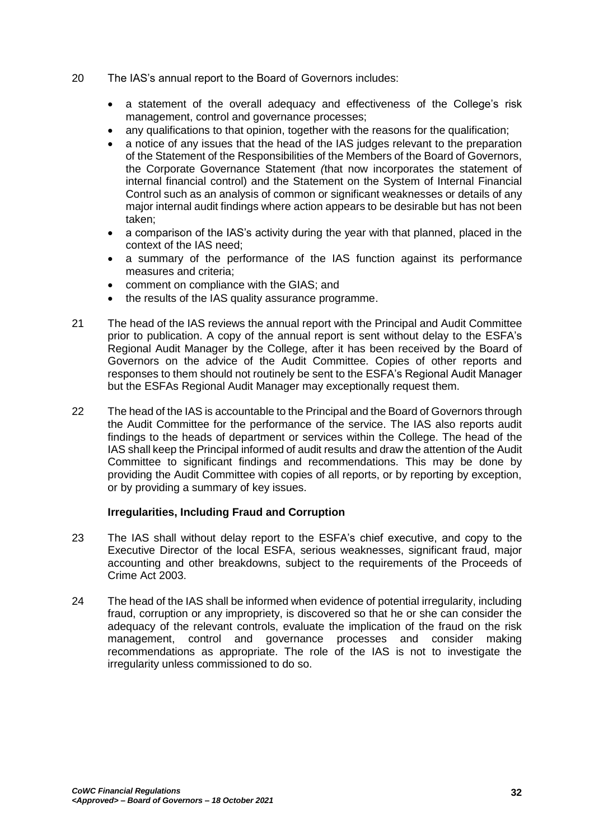- 20 The IAS's annual report to the Board of Governors includes:
	- a statement of the overall adequacy and effectiveness of the College's risk management, control and governance processes;
	- any qualifications to that opinion, together with the reasons for the qualification;
	- a notice of any issues that the head of the IAS judges relevant to the preparation of the Statement of the Responsibilities of the Members of the Board of Governors, the Corporate Governance Statement *(*that now incorporates the statement of internal financial control) and the Statement on the System of Internal Financial Control such as an analysis of common or significant weaknesses or details of any major internal audit findings where action appears to be desirable but has not been taken;
	- a comparison of the IAS's activity during the year with that planned, placed in the context of the IAS need;
	- a summary of the performance of the IAS function against its performance measures and criteria;
	- comment on compliance with the GIAS; and
	- the results of the IAS quality assurance programme.
- 21 The head of the IAS reviews the annual report with the Principal and Audit Committee prior to publication. A copy of the annual report is sent without delay to the ESFA's Regional Audit Manager by the College, after it has been received by the Board of Governors on the advice of the Audit Committee. Copies of other reports and responses to them should not routinely be sent to the ESFA's Regional Audit Manager but the ESFAs Regional Audit Manager may exceptionally request them.
- 22 The head of the IAS is accountable to the Principal and the Board of Governors through the Audit Committee for the performance of the service. The IAS also reports audit findings to the heads of department or services within the College. The head of the IAS shall keep the Principal informed of audit results and draw the attention of the Audit Committee to significant findings and recommendations. This may be done by providing the Audit Committee with copies of all reports, or by reporting by exception, or by providing a summary of key issues.

#### **Irregularities, Including Fraud and Corruption**

- 23 The IAS shall without delay report to the ESFA's chief executive, and copy to the Executive Director of the local ESFA, serious weaknesses, significant fraud, major accounting and other breakdowns, subject to the requirements of the Proceeds of Crime Act 2003.
- 24 The head of the IAS shall be informed when evidence of potential irregularity, including fraud, corruption or any impropriety, is discovered so that he or she can consider the adequacy of the relevant controls, evaluate the implication of the fraud on the risk management, control and governance processes and consider making recommendations as appropriate. The role of the IAS is not to investigate the irregularity unless commissioned to do so.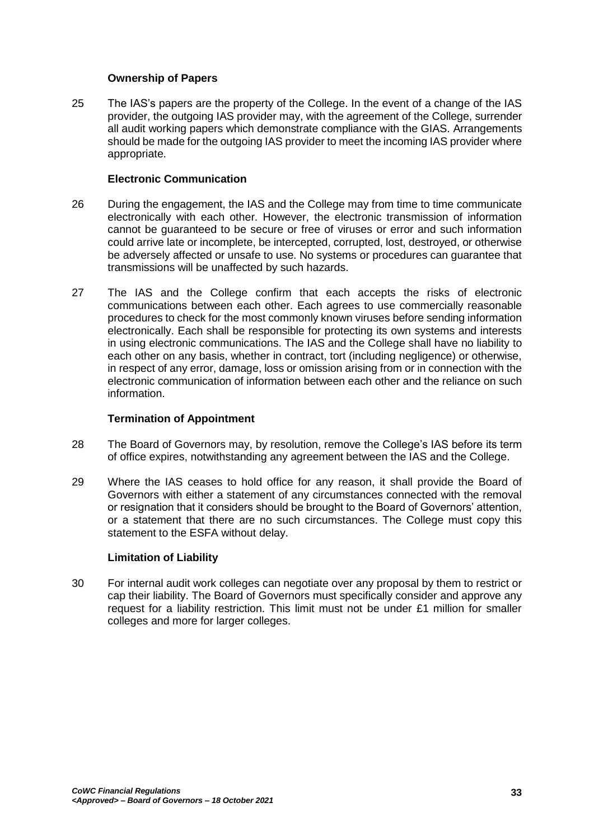## **Ownership of Papers**

25 The IAS's papers are the property of the College. In the event of a change of the IAS provider, the outgoing IAS provider may, with the agreement of the College, surrender all audit working papers which demonstrate compliance with the GIAS. Arrangements should be made for the outgoing IAS provider to meet the incoming IAS provider where appropriate.

### **Electronic Communication**

- 26 During the engagement, the IAS and the College may from time to time communicate electronically with each other. However, the electronic transmission of information cannot be guaranteed to be secure or free of viruses or error and such information could arrive late or incomplete, be intercepted, corrupted, lost, destroyed, or otherwise be adversely affected or unsafe to use. No systems or procedures can guarantee that transmissions will be unaffected by such hazards.
- 27 The IAS and the College confirm that each accepts the risks of electronic communications between each other. Each agrees to use commercially reasonable procedures to check for the most commonly known viruses before sending information electronically. Each shall be responsible for protecting its own systems and interests in using electronic communications. The IAS and the College shall have no liability to each other on any basis, whether in contract, tort (including negligence) or otherwise, in respect of any error, damage, loss or omission arising from or in connection with the electronic communication of information between each other and the reliance on such information.

## **Termination of Appointment**

- 28 The Board of Governors may, by resolution, remove the College's IAS before its term of office expires, notwithstanding any agreement between the IAS and the College.
- 29 Where the IAS ceases to hold office for any reason, it shall provide the Board of Governors with either a statement of any circumstances connected with the removal or resignation that it considers should be brought to the Board of Governors' attention, or a statement that there are no such circumstances. The College must copy this statement to the ESFA without delay.

## **Limitation of Liability**

30 For internal audit work colleges can negotiate over any proposal by them to restrict or cap their liability. The Board of Governors must specifically consider and approve any request for a liability restriction. This limit must not be under £1 million for smaller colleges and more for larger colleges.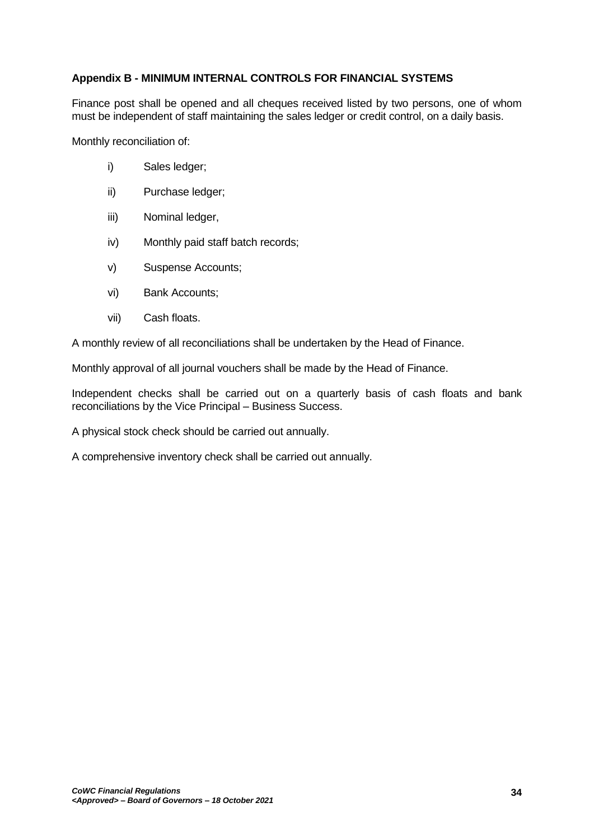# <span id="page-33-0"></span>**Appendix B - MINIMUM INTERNAL CONTROLS FOR FINANCIAL SYSTEMS**

Finance post shall be opened and all cheques received listed by two persons, one of whom must be independent of staff maintaining the sales ledger or credit control, on a daily basis.

Monthly reconciliation of:

- i) Sales ledger;
- ii) Purchase ledger;
- iii) Nominal ledger,
- iv) Monthly paid staff batch records;
- v) Suspense Accounts;
- vi) Bank Accounts;
- vii) Cash floats.

A monthly review of all reconciliations shall be undertaken by the Head of Finance.

Monthly approval of all journal vouchers shall be made by the Head of Finance.

Independent checks shall be carried out on a quarterly basis of cash floats and bank reconciliations by the Vice Principal – Business Success.

A physical stock check should be carried out annually.

A comprehensive inventory check shall be carried out annually.